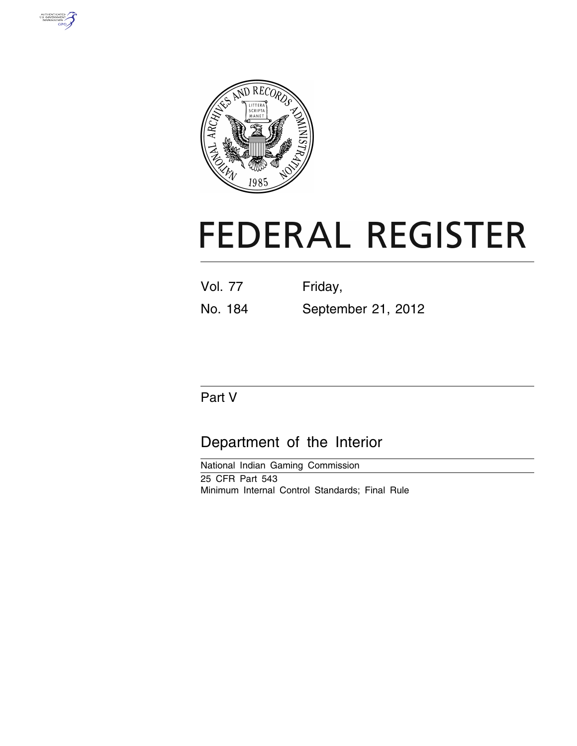



# **FEDERAL REGISTER**

| <b>Vol. 77</b> | Friday,            |
|----------------|--------------------|
| No. 184        | September 21, 2012 |

## Part V

## Department of the Interior

National Indian Gaming Commission 25 CFR Part 543 Minimum Internal Control Standards; Final Rule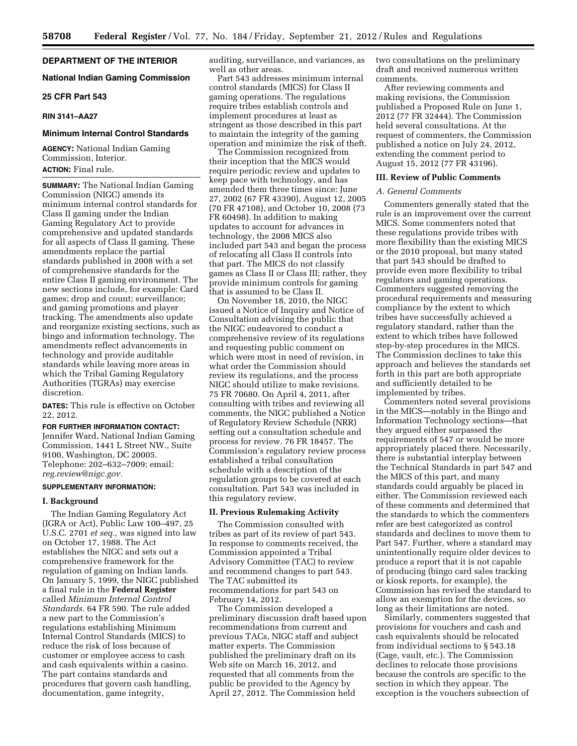#### **DEPARTMENT OF THE INTERIOR**

#### **National Indian Gaming Commission**

#### **25 CFR Part 543**

#### **RIN 3141–AA27**

#### **Minimum Internal Control Standards**

**AGENCY:** National Indian Gaming Commission, Interior. **ACTION:** Final rule.

**SUMMARY:** The National Indian Gaming Commission (NIGC) amends its minimum internal control standards for Class II gaming under the Indian Gaming Regulatory Act to provide comprehensive and updated standards for all aspects of Class II gaming. These amendments replace the partial standards published in 2008 with a set of comprehensive standards for the entire Class II gaming environment. The new sections include, for example: Card games; drop and count; surveillance; and gaming promotions and player tracking. The amendments also update and reorganize existing sections, such as bingo and information technology. The amendments reflect advancements in technology and provide auditable standards while leaving more areas in which the Tribal Gaming Regulatory Authorities (TGRAs) may exercise discretion.

**DATES:** This rule is effective on October 22, 2012.

**FOR FURTHER INFORMATION CONTACT:**  Jennifer Ward, National Indian Gaming Commission, 1441 L Street NW., Suite 9100, Washington, DC 20005. Telephone: 202–632–7009; email: *[reg.review@nigc.gov.](mailto:reg.review@nigc.gov)* 

#### **SUPPLEMENTARY INFORMATION:**

#### **I. Background**

The Indian Gaming Regulatory Act (IGRA or Act), Public Law 100–497, 25 U.S.C. 2701 *et seq.,* was signed into law on October 17, 1988. The Act establishes the NIGC and sets out a comprehensive framework for the regulation of gaming on Indian lands. On January 5, 1999, the NIGC published a final rule in the **Federal Register**  called *Minimum Internal Control Standards.* 64 FR 590. The rule added a new part to the Commission's regulations establishing Minimum Internal Control Standards (MICS) to reduce the risk of loss because of customer or employee access to cash and cash equivalents within a casino. The part contains standards and procedures that govern cash handling, documentation, game integrity,

auditing, surveillance, and variances, as well as other areas.

Part 543 addresses minimum internal control standards (MICS) for Class II gaming operations. The regulations require tribes establish controls and implement procedures at least as stringent as those described in this part to maintain the integrity of the gaming operation and minimize the risk of theft.

The Commission recognized from their inception that the MICS would require periodic review and updates to keep pace with technology, and has amended them three times since: June 27, 2002 (67 FR 43390), August 12, 2005 (70 FR 47108), and October 10, 2008 (73 FR 60498). In addition to making updates to account for advances in technology, the 2008 MICS also included part 543 and began the process of relocating all Class II controls into that part. The MICS do not classify games as Class II or Class III; rather, they provide minimum controls for gaming that is assumed to be Class II.

On November 18, 2010, the NIGC issued a Notice of Inquiry and Notice of Consultation advising the public that the NIGC endeavored to conduct a comprehensive review of its regulations and requesting public comment on which were most in need of revision, in what order the Commission should review its regulations, and the process NIGC should utilize to make revisions. 75 FR 70680. On April 4, 2011, after consulting with tribes and reviewing all comments, the NIGC published a Notice of Regulatory Review Schedule (NRR) setting out a consultation schedule and process for review. 76 FR 18457. The Commission's regulatory review process established a tribal consultation schedule with a description of the regulation groups to be covered at each consultation. Part 543 was included in this regulatory review.

#### **II. Previous Rulemaking Activity**

The Commission consulted with tribes as part of its review of part 543. In response to comments received, the Commission appointed a Tribal Advisory Committee (TAC) to review and recommend changes to part 543. The TAC submitted its recommendations for part 543 on February 14, 2012.

The Commission developed a preliminary discussion draft based upon recommendations from current and previous TACs, NIGC staff and subject matter experts. The Commission published the preliminary draft on its Web site on March 16, 2012, and requested that all comments from the public be provided to the Agency by April 27, 2012. The Commission held

two consultations on the preliminary draft and received numerous written comments.

After reviewing comments and making revisions, the Commission published a Proposed Rule on June 1, 2012 (77 FR 32444). The Commission held several consultations. At the request of commenters, the Commission published a notice on July 24, 2012, extending the comment period to August 15, 2012 (77 FR 43196).

#### **III. Review of Public Comments**

#### *A. General Comments*

Commenters generally stated that the rule is an improvement over the current MICS. Some commenters noted that these regulations provide tribes with more flexibility than the existing MICS or the 2010 proposal, but many stated that part 543 should be drafted to provide even more flexibility to tribal regulators and gaming operations. Commenters suggested removing the procedural requirements and measuring compliance by the extent to which tribes have successfully achieved a regulatory standard, rather than the extent to which tribes have followed step-by-step procedures in the MICS. The Commission declines to take this approach and believes the standards set forth in this part are both appropriate and sufficiently detailed to be implemented by tribes.

Commenters noted several provisions in the MICS—notably in the Bingo and Information Technology sections—that they argued either surpassed the requirements of 547 or would be more appropriately placed there. Necessarily, there is substantial interplay between the Technical Standards in part 547 and the MICS of this part, and many standards could arguably be placed in either. The Commission reviewed each of these comments and determined that the standards to which the commenters refer are best categorized as control standards and declines to move them to Part 547. Further, where a standard may unintentionally require older devices to produce a report that it is not capable of producing (bingo card sales tracking or kiosk reports, for example), the Commission has revised the standard to allow an exemption for the devices, so long as their limitations are noted.

Similarly, commenters suggested that provisions for vouchers and cash and cash equivalents should be relocated from individual sections to § 543.18 (Cage, vault, etc.). The Commission declines to relocate those provisions because the controls are specific to the section in which they appear. The exception is the vouchers subsection of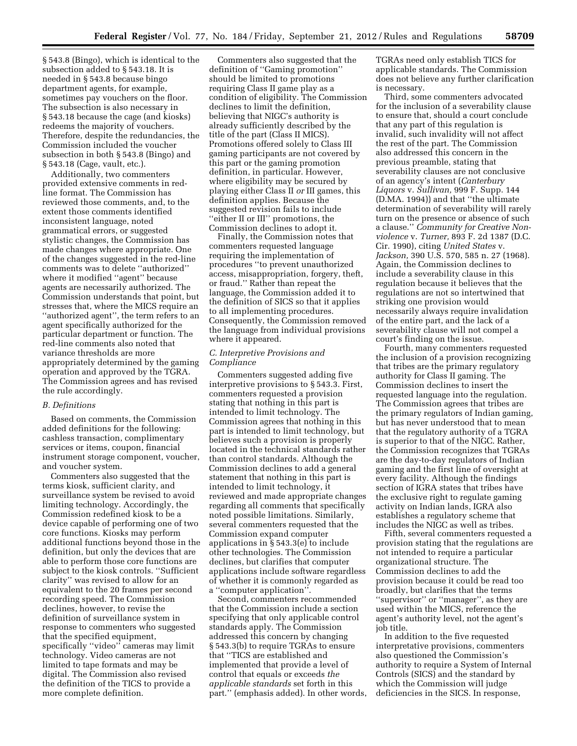§ 543.8 (Bingo), which is identical to the subsection added to § 543.18. It is needed in § 543.8 because bingo department agents, for example, sometimes pay vouchers on the floor. The subsection is also necessary in § 543.18 because the cage (and kiosks) redeems the majority of vouchers. Therefore, despite the redundancies, the Commission included the voucher subsection in both § 543.8 (Bingo) and § 543.18 (Cage, vault, etc.).

Additionally, two commenters provided extensive comments in redline format. The Commission has reviewed those comments, and, to the extent those comments identified inconsistent language, noted grammatical errors, or suggested stylistic changes, the Commission has made changes where appropriate. One of the changes suggested in the red-line comments was to delete ''authorized'' where it modified ''agent'' because agents are necessarily authorized. The Commission understands that point, but stresses that, where the MICS require an ''authorized agent'', the term refers to an agent specifically authorized for the particular department or function. The red-line comments also noted that variance thresholds are more appropriately determined by the gaming operation and approved by the TGRA. The Commission agrees and has revised the rule accordingly.

#### *B. Definitions*

Based on comments, the Commission added definitions for the following: cashless transaction, complimentary services or items, coupon, financial instrument storage component, voucher, and voucher system.

Commenters also suggested that the terms kiosk, sufficient clarity, and surveillance system be revised to avoid limiting technology. Accordingly, the Commission redefined kiosk to be a device capable of performing one of two core functions. Kiosks may perform additional functions beyond those in the definition, but only the devices that are able to perform those core functions are subject to the kiosk controls. ''Sufficient clarity'' was revised to allow for an equivalent to the 20 frames per second recording speed. The Commission declines, however, to revise the definition of surveillance system in response to commenters who suggested that the specified equipment, specifically ''video'' cameras may limit technology. Video cameras are not limited to tape formats and may be digital. The Commission also revised the definition of the TICS to provide a more complete definition.

Commenters also suggested that the definition of ''Gaming promotion'' should be limited to promotions requiring Class II game play as a condition of eligibility. The Commission declines to limit the definition, believing that NIGC's authority is already sufficiently described by the title of the part (Class II MICS). Promotions offered solely to Class III gaming participants are not covered by this part or the gaming promotion definition, in particular. However, where eligibility may be secured by playing either Class II *or* III games, this definition applies. Because the suggested revision fails to include ''either II or III'' promotions, the Commission declines to adopt it.

Finally, the Commission notes that commenters requested language requiring the implementation of procedures ''to prevent unauthorized access, misappropriation, forgery, theft, or fraud.'' Rather than repeat the language, the Commission added it to the definition of SICS so that it applies to all implementing procedures. Consequently, the Commission removed the language from individual provisions where it appeared.

#### *C. Interpretive Provisions and Compliance*

Commenters suggested adding five interpretive provisions to § 543.3. First, commenters requested a provision stating that nothing in this part is intended to limit technology. The Commission agrees that nothing in this part is intended to limit technology, but believes such a provision is properly located in the technical standards rather than control standards. Although the Commission declines to add a general statement that nothing in this part is intended to limit technology, it reviewed and made appropriate changes regarding all comments that specifically noted possible limitations. Similarly, several commenters requested that the Commission expand computer applications in § 543.3(e) to include other technologies. The Commission declines, but clarifies that computer applications include software regardless of whether it is commonly regarded as a ''computer application''.

Second, commenters recommended that the Commission include a section specifying that only applicable control standards apply. The Commission addressed this concern by changing § 543.3(b) to require TGRAs to ensure that ''TICS are established and implemented that provide a level of control that equals or exceeds *the applicable standards* set forth in this part.'' (emphasis added). In other words, TGRAs need only establish TICS for applicable standards. The Commission does not believe any further clarification is necessary.

Third, some commenters advocated for the inclusion of a severability clause to ensure that, should a court conclude that any part of this regulation is invalid, such invalidity will not affect the rest of the part. The Commission also addressed this concern in the previous preamble, stating that severability clauses are not conclusive of an agency's intent (*Canterbury Liquors* v. *Sullivan,* 999 F. Supp. 144 (D.MA. 1994)) and that ''the ultimate determination of severability will rarely turn on the presence or absence of such a clause.'' *Community for Creative Nonviolence* v. *Turner,* 893 F. 2d 1387 (D.C. Cir. 1990), citing *United States* v. *Jackson,* 390 U.S. 570, 585 n. 27 (1968). Again, the Commission declines to include a severability clause in this regulation because it believes that the regulations are not so intertwined that striking one provision would necessarily always require invalidation of the entire part, and the lack of a severability clause will not compel a court's finding on the issue.

Fourth, many commenters requested the inclusion of a provision recognizing that tribes are the primary regulatory authority for Class II gaming. The Commission declines to insert the requested language into the regulation. The Commission agrees that tribes are the primary regulators of Indian gaming, but has never understood that to mean that the regulatory authority of a TGRA is superior to that of the NIGC. Rather, the Commission recognizes that TGRAs are the day-to-day regulators of Indian gaming and the first line of oversight at every facility. Although the findings section of IGRA states that tribes have the exclusive right to regulate gaming activity on Indian lands, IGRA also establishes a regulatory scheme that includes the NIGC as well as tribes.

Fifth, several commenters requested a provision stating that the regulations are not intended to require a particular organizational structure. The Commission declines to add the provision because it could be read too broadly, but clarifies that the terms ''supervisor'' or ''manager'', as they are used within the MICS, reference the agent's authority level, not the agent's job title.

In addition to the five requested interpretative provisions, commenters also questioned the Commission's authority to require a System of Internal Controls (SICS) and the standard by which the Commission will judge deficiencies in the SICS. In response,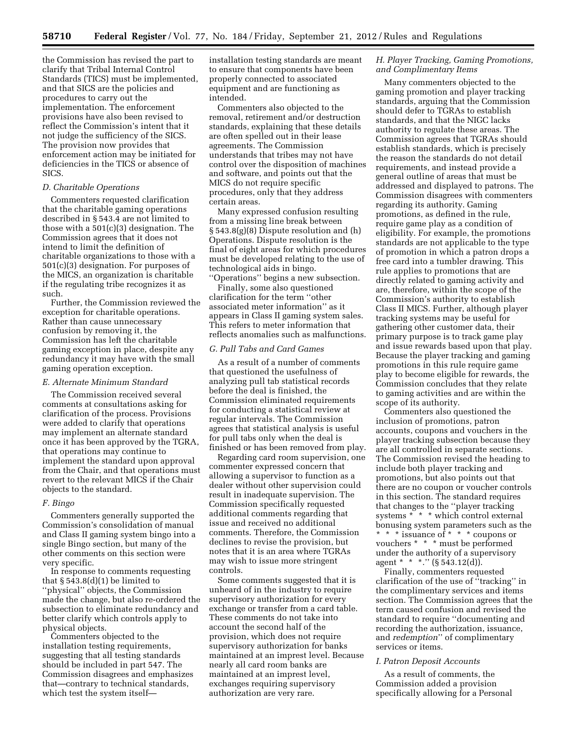the Commission has revised the part to clarify that Tribal Internal Control Standards (TICS) must be implemented, and that SICS are the policies and procedures to carry out the implementation. The enforcement provisions have also been revised to reflect the Commission's intent that it not judge the sufficiency of the SICS. The provision now provides that enforcement action may be initiated for deficiencies in the TICS or absence of SICS.

#### *D. Charitable Operations*

Commenters requested clarification that the charitable gaming operations described in § 543.4 are not limited to those with a 501(c)(3) designation. The Commission agrees that it does not intend to limit the definition of charitable organizations to those with a 501(c)(3) designation. For purposes of the MICS, an organization is charitable if the regulating tribe recognizes it as such.

Further, the Commission reviewed the exception for charitable operations. Rather than cause unnecessary confusion by removing it, the Commission has left the charitable gaming exception in place, despite any redundancy it may have with the small gaming operation exception.

#### *E. Alternate Minimum Standard*

The Commission received several comments at consultations asking for clarification of the process. Provisions were added to clarify that operations may implement an alternate standard once it has been approved by the TGRA, that operations may continue to implement the standard upon approval from the Chair, and that operations must revert to the relevant MICS if the Chair objects to the standard.

#### *F. Bingo*

Commenters generally supported the Commission's consolidation of manual and Class II gaming system bingo into a single Bingo section, but many of the other comments on this section were very specific.

In response to comments requesting that  $\S 543.8(d)(1)$  be limited to ''physical'' objects, the Commission made the change, but also re-ordered the subsection to eliminate redundancy and better clarify which controls apply to physical objects.

Commenters objected to the installation testing requirements, suggesting that all testing standards should be included in part 547. The Commission disagrees and emphasizes that—contrary to technical standards, which test the system itselfinstallation testing standards are meant to ensure that components have been properly connected to associated equipment and are functioning as intended.

Commenters also objected to the removal, retirement and/or destruction standards, explaining that these details are often spelled out in their lease agreements. The Commission understands that tribes may not have control over the disposition of machines and software, and points out that the MICS do not require specific procedures, only that they address certain areas.

Many expressed confusion resulting from a missing line break between § 543.8(g)(8) Dispute resolution and (h) Operations. Dispute resolution is the final of eight areas for which procedures must be developed relating to the use of technological aids in bingo. ''Operations'' begins a new subsection.

Finally, some also questioned clarification for the term ''other associated meter information'' as it appears in Class II gaming system sales. This refers to meter information that reflects anomalies such as malfunctions.

### *G. Pull Tabs and Card Games*

As a result of a number of comments that questioned the usefulness of analyzing pull tab statistical records before the deal is finished, the Commission eliminated requirements for conducting a statistical review at regular intervals. The Commission agrees that statistical analysis is useful for pull tabs only when the deal is finished or has been removed from play.

Regarding card room supervision, one commenter expressed concern that allowing a supervisor to function as a dealer without other supervision could result in inadequate supervision. The Commission specifically requested additional comments regarding that issue and received no additional comments. Therefore, the Commission declines to revise the provision, but notes that it is an area where TGRAs may wish to issue more stringent controls.

Some comments suggested that it is unheard of in the industry to require supervisory authorization for every exchange or transfer from a card table. These comments do not take into account the second half of the provision, which does not require supervisory authorization for banks maintained at an imprest level. Because nearly all card room banks are maintained at an imprest level, exchanges requiring supervisory authorization are very rare.

#### *H. Player Tracking, Gaming Promotions, and Complimentary Items*

Many commenters objected to the gaming promotion and player tracking standards, arguing that the Commission should defer to TGRAs to establish standards, and that the NIGC lacks authority to regulate these areas. The Commission agrees that TGRAs should establish standards, which is precisely the reason the standards do not detail requirements, and instead provide a general outline of areas that must be addressed and displayed to patrons. The Commission disagrees with commenters regarding its authority. Gaming promotions, as defined in the rule, require game play as a condition of eligibility. For example, the promotions standards are not applicable to the type of promotion in which a patron drops a free card into a tumbler drawing. This rule applies to promotions that are directly related to gaming activity and are, therefore, within the scope of the Commission's authority to establish Class II MICS. Further, although player tracking systems may be useful for gathering other customer data, their primary purpose is to track game play and issue rewards based upon that play. Because the player tracking and gaming promotions in this rule require game play to become eligible for rewards, the Commission concludes that they relate to gaming activities and are within the scope of its authority.

Commenters also questioned the inclusion of promotions, patron accounts, coupons and vouchers in the player tracking subsection because they are all controlled in separate sections. The Commission revised the heading to include both player tracking and promotions, but also points out that there are no coupon or voucher controls in this section. The standard requires that changes to the ''player tracking systems \* \* \* which control external bonusing system parameters such as the \* \* \* issuance of \* \* \* coupons or vouchers \* \* \* must be performed under the authority of a supervisory agent \* \* \*." (§ 543.12(d)).

Finally, commenters requested clarification of the use of ''tracking'' in the complimentary services and items section. The Commission agrees that the term caused confusion and revised the standard to require ''documenting and recording the authorization, issuance, and *redemption*'' of complimentary services or items.

#### *I. Patron Deposit Accounts*

As a result of comments, the Commission added a provision specifically allowing for a Personal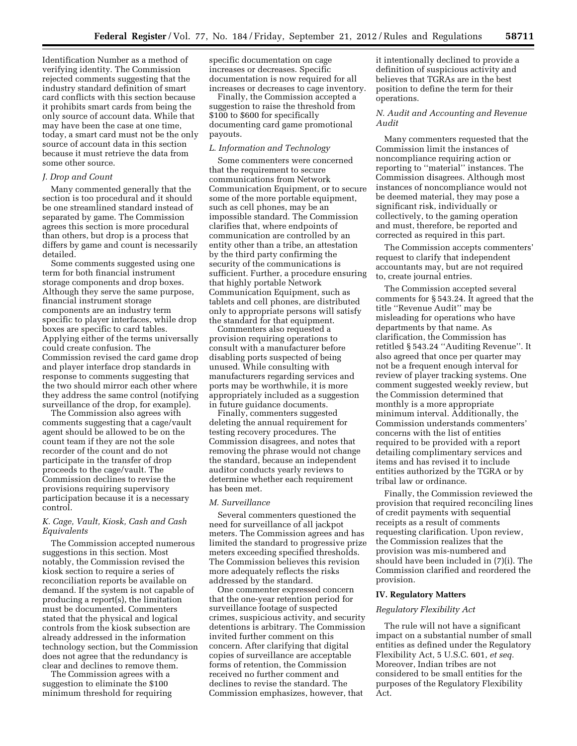Identification Number as a method of verifying identity. The Commission rejected comments suggesting that the industry standard definition of smart card conflicts with this section because it prohibits smart cards from being the only source of account data. While that may have been the case at one time, today, a smart card must not be the only source of account data in this section because it must retrieve the data from some other source.

#### *J. Drop and Count*

Many commented generally that the section is too procedural and it should be one streamlined standard instead of separated by game. The Commission agrees this section is more procedural than others, but drop is a process that differs by game and count is necessarily detailed.

Some comments suggested using one term for both financial instrument storage components and drop boxes. Although they serve the same purpose, financial instrument storage components are an industry term specific to player interfaces, while drop boxes are specific to card tables. Applying either of the terms universally could create confusion. The Commission revised the card game drop and player interface drop standards in response to comments suggesting that the two should mirror each other where they address the same control (notifying surveillance of the drop, for example).

The Commission also agrees with comments suggesting that a cage/vault agent should be allowed to be on the count team if they are not the sole recorder of the count and do not participate in the transfer of drop proceeds to the cage/vault. The Commission declines to revise the provisions requiring supervisory participation because it is a necessary control.

#### *K. Cage, Vault, Kiosk, Cash and Cash Equivalents*

The Commission accepted numerous suggestions in this section. Most notably, the Commission revised the kiosk section to require a series of reconciliation reports be available on demand. If the system is not capable of producing a report(s), the limitation must be documented. Commenters stated that the physical and logical controls from the kiosk subsection are already addressed in the information technology section, but the Commission does not agree that the redundancy is clear and declines to remove them.

The Commission agrees with a suggestion to eliminate the \$100 minimum threshold for requiring specific documentation on cage increases or decreases. Specific documentation is now required for all increases or decreases to cage inventory.

Finally, the Commission accepted a suggestion to raise the threshold from \$100 to \$600 for specifically documenting card game promotional payouts.

#### *L. Information and Technology*

Some commenters were concerned that the requirement to secure communications from Network Communication Equipment, or to secure some of the more portable equipment, such as cell phones, may be an impossible standard. The Commission clarifies that, where endpoints of communication are controlled by an entity other than a tribe, an attestation by the third party confirming the security of the communications is sufficient. Further, a procedure ensuring that highly portable Network Communication Equipment, such as tablets and cell phones, are distributed only to appropriate persons will satisfy the standard for that equipment.

Commenters also requested a provision requiring operations to consult with a manufacturer before disabling ports suspected of being unused. While consulting with manufacturers regarding services and ports may be worthwhile, it is more appropriately included as a suggestion in future guidance documents.

Finally, commenters suggested deleting the annual requirement for testing recovery procedures. The Commission disagrees, and notes that removing the phrase would not change the standard, because an independent auditor conducts yearly reviews to determine whether each requirement has been met.

#### *M. Surveillance*

Several commenters questioned the need for surveillance of all jackpot meters. The Commission agrees and has limited the standard to progressive prize meters exceeding specified thresholds. The Commission believes this revision more adequately reflects the risks addressed by the standard.

One commenter expressed concern that the one-year retention period for surveillance footage of suspected crimes, suspicious activity, and security detentions is arbitrary. The Commission invited further comment on this concern. After clarifying that digital copies of surveillance are acceptable forms of retention, the Commission received no further comment and declines to revise the standard. The Commission emphasizes, however, that

it intentionally declined to provide a definition of suspicious activity and believes that TGRAs are in the best position to define the term for their operations.

#### *N. Audit and Accounting and Revenue Audit*

Many commenters requested that the Commission limit the instances of noncompliance requiring action or reporting to ''material'' instances. The Commission disagrees. Although most instances of noncompliance would not be deemed material, they may pose a significant risk, individually or collectively, to the gaming operation and must, therefore, be reported and corrected as required in this part.

The Commission accepts commenters' request to clarify that independent accountants may, but are not required to, create journal entries.

The Commission accepted several comments for § 543.24. It agreed that the title ''Revenue Audit'' may be misleading for operations who have departments by that name. As clarification, the Commission has retitled § 543.24 ''Auditing Revenue''. It also agreed that once per quarter may not be a frequent enough interval for review of player tracking systems. One comment suggested weekly review, but the Commission determined that monthly is a more appropriate minimum interval. Additionally, the Commission understands commenters' concerns with the list of entities required to be provided with a report detailing complimentary services and items and has revised it to include entities authorized by the TGRA or by tribal law or ordinance.

Finally, the Commission reviewed the provision that required reconciling lines of credit payments with sequential receipts as a result of comments requesting clarification. Upon review, the Commission realizes that the provision was mis-numbered and should have been included in (7)(i). The Commission clarified and reordered the provision.

#### **IV. Regulatory Matters**

#### *Regulatory Flexibility Act*

The rule will not have a significant impact on a substantial number of small entities as defined under the Regulatory Flexibility Act, 5 U.S.C. 601, *et seq.*  Moreover, Indian tribes are not considered to be small entities for the purposes of the Regulatory Flexibility Act.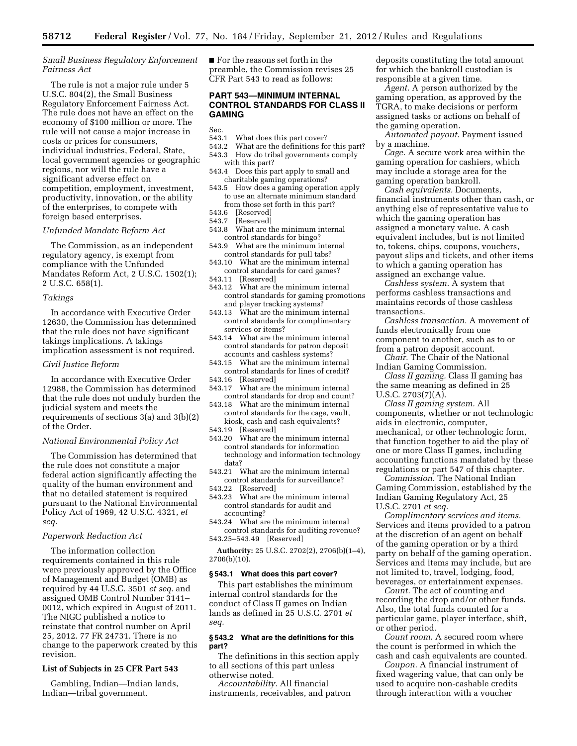#### *Small Business Regulatory Enforcement Fairness Act*

The rule is not a major rule under 5 U.S.C. 804(2), the Small Business Regulatory Enforcement Fairness Act. The rule does not have an effect on the economy of \$100 million or more. The rule will not cause a major increase in costs or prices for consumers, individual industries, Federal, State, local government agencies or geographic regions, nor will the rule have a significant adverse effect on competition, employment, investment, productivity, innovation, or the ability of the enterprises, to compete with foreign based enterprises.

#### *Unfunded Mandate Reform Act*

The Commission, as an independent regulatory agency, is exempt from compliance with the Unfunded Mandates Reform Act, 2 U.S.C. 1502(1); 2 U.S.C. 658(1).

#### *Takings*

In accordance with Executive Order 12630, the Commission has determined that the rule does not have significant takings implications. A takings implication assessment is not required.

#### *Civil Justice Reform*

In accordance with Executive Order 12988, the Commission has determined that the rule does not unduly burden the judicial system and meets the requirements of sections 3(a) and 3(b)(2) of the Order.

#### *National Environmental Policy Act*

The Commission has determined that the rule does not constitute a major federal action significantly affecting the quality of the human environment and that no detailed statement is required pursuant to the National Environmental Policy Act of 1969, 42 U.S.C. 4321, *et seq.* 

#### *Paperwork Reduction Act*

The information collection requirements contained in this rule were previously approved by the Office of Management and Budget (OMB) as required by 44 U.S.C. 3501 *et seq.* and assigned OMB Control Number 3141– 0012, which expired in August of 2011. The NIGC published a notice to reinstate that control number on April 25, 2012. 77 FR 24731. There is no change to the paperwork created by this revision.

#### **List of Subjects in 25 CFR Part 543**

Gambling, Indian—Indian lands, Indian—tribal government.

■ For the reasons set forth in the preamble, the Commission revises 25 CFR Part 543 to read as follows:

#### **PART 543—MINIMUM INTERNAL CONTROL STANDARDS FOR CLASS II GAMING**

Sec.<br>543.1

- What does this part cover?
- 543.2 What are the definitions for this part?
- 543.3 How do tribal governments comply with this part?
- 543.4 Does this part apply to small and charitable gaming operations?
- 543.5 How does a gaming operation apply to use an alternate minimum standard from those set forth in this part?
- 543.6 [Reserved]<br>543.7 [Reserved]
- 543.7 [Reserved]<br>543.8 What are tl
- What are the minimum internal control standards for bingo?
- 543.9 What are the minimum internal control standards for pull tabs?
- 543.10 What are the minimum internal control standards for card games?
- 543.11 [Reserved]
- 543.12 What are the minimum internal control standards for gaming promotions and player tracking systems?
- 543.13 What are the minimum internal control standards for complimentary services or items?
- 543.14 What are the minimum internal control standards for patron deposit accounts and cashless systems?
- 543.15 What are the minimum internal control standards for lines of credit?
- 543.16 [Reserved]
- 543.17 What are the minimum internal control standards for drop and count?
- 543.18 What are the minimum internal control standards for the cage, vault, kiosk, cash and cash equivalents?
- 543.19 [Reserved]
- 543.20 What are the minimum internal control standards for information technology and information technology data?
- 543.21 What are the minimum internal control standards for surveillance?
- 543.22 [Reserved]
- 543.23 What are the minimum internal control standards for audit and accounting?
- 543.24 What are the minimum internal control standards for auditing revenue? 543.25–543.49 [Reserved]

**Authority:** 25 U.S.C. 2702(2), 2706(b)(1–4), 2706(b)(10).

#### **§ 543.1 What does this part cover?**

This part establishes the minimum internal control standards for the conduct of Class II games on Indian lands as defined in 25 U.S.C. 2701 *et seq.* 

#### **§ 543.2 What are the definitions for this part?**

The definitions in this section apply to all sections of this part unless otherwise noted.

*Accountability.* All financial instruments, receivables, and patron deposits constituting the total amount for which the bankroll custodian is responsible at a given time.

*Agent.* A person authorized by the gaming operation, as approved by the TGRA, to make decisions or perform assigned tasks or actions on behalf of the gaming operation.

*Automated payout.* Payment issued by a machine.

*Cage.* A secure work area within the gaming operation for cashiers, which may include a storage area for the gaming operation bankroll.

*Cash equivalents.* Documents, financial instruments other than cash, or anything else of representative value to which the gaming operation has assigned a monetary value. A cash equivalent includes, but is not limited to, tokens, chips, coupons, vouchers, payout slips and tickets, and other items to which a gaming operation has assigned an exchange value.

*Cashless system.* A system that performs cashless transactions and maintains records of those cashless transactions.

*Cashless transaction.* A movement of funds electronically from one component to another, such as to or from a patron deposit account.

*Chair.* The Chair of the National Indian Gaming Commission.

*Class II gaming.* Class II gaming has the same meaning as defined in 25 U.S.C. 2703(7)(A).

*Class II gaming system.* All components, whether or not technologic aids in electronic, computer, mechanical, or other technologic form, that function together to aid the play of one or more Class II games, including accounting functions mandated by these regulations or part 547 of this chapter.

*Commission.* The National Indian Gaming Commission, established by the Indian Gaming Regulatory Act, 25 U.S.C. 2701 *et seq.* 

*Complimentary services and items.*  Services and items provided to a patron at the discretion of an agent on behalf of the gaming operation or by a third party on behalf of the gaming operation. Services and items may include, but are not limited to, travel, lodging, food, beverages, or entertainment expenses.

*Count.* The act of counting and recording the drop and/or other funds. Also, the total funds counted for a particular game, player interface, shift, or other period.

*Count room.* A secured room where the count is performed in which the cash and cash equivalents are counted.

*Coupon.* A financial instrument of fixed wagering value, that can only be used to acquire non-cashable credits through interaction with a voucher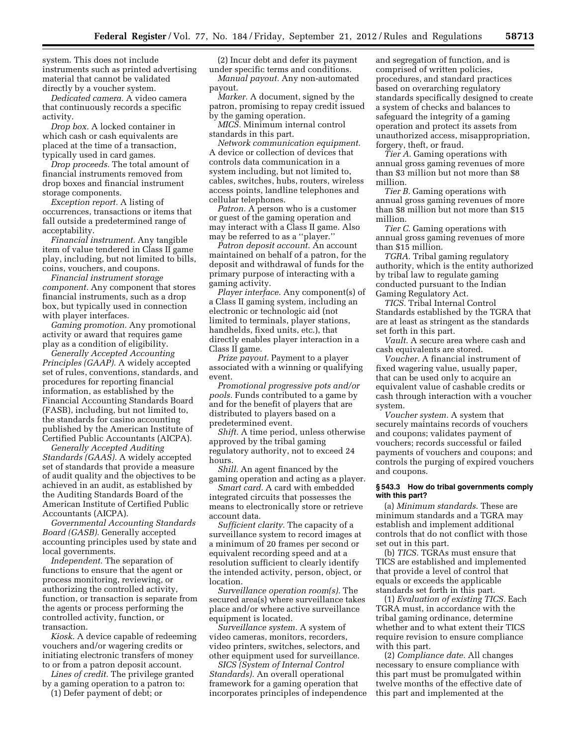system. This does not include instruments such as printed advertising material that cannot be validated directly by a voucher system.

*Dedicated camera.* A video camera that continuously records a specific activity.

*Drop box.* A locked container in which cash or cash equivalents are placed at the time of a transaction, typically used in card games.

*Drop proceeds.* The total amount of financial instruments removed from drop boxes and financial instrument storage components.

*Exception report.* A listing of occurrences, transactions or items that fall outside a predetermined range of acceptability.

*Financial instrument.* Any tangible item of value tendered in Class II game play, including, but not limited to bills, coins, vouchers, and coupons.

*Financial instrument storage component.* Any component that stores financial instruments, such as a drop box, but typically used in connection with player interfaces.

*Gaming promotion.* Any promotional activity or award that requires game play as a condition of eligibility.

*Generally Accepted Accounting Principles (GAAP).* A widely accepted set of rules, conventions, standards, and procedures for reporting financial information, as established by the Financial Accounting Standards Board (FASB), including, but not limited to, the standards for casino accounting published by the American Institute of Certified Public Accountants (AICPA).

*Generally Accepted Auditing Standards (GAAS).* A widely accepted set of standards that provide a measure of audit quality and the objectives to be achieved in an audit, as established by the Auditing Standards Board of the American Institute of Certified Public Accountants (AICPA).

*Governmental Accounting Standards Board (GASB).* Generally accepted accounting principles used by state and local governments.

*Independent.* The separation of functions to ensure that the agent or process monitoring, reviewing, or authorizing the controlled activity, function, or transaction is separate from the agents or process performing the controlled activity, function, or transaction.

*Kiosk.* A device capable of redeeming vouchers and/or wagering credits or initiating electronic transfers of money to or from a patron deposit account.

*Lines of credit.* The privilege granted by a gaming operation to a patron to:

(1) Defer payment of debt; or

(2) Incur debt and defer its payment under specific terms and conditions. *Manual payout.* Any non-automated payout.

*Marker.* A document, signed by the patron, promising to repay credit issued by the gaming operation.

*MICS.* Minimum internal control standards in this part.

*Network communication equipment.*  A device or collection of devices that controls data communication in a system including, but not limited to, cables, switches, hubs, routers, wireless access points, landline telephones and cellular telephones.

*Patron.* A person who is a customer or guest of the gaming operation and may interact with a Class II game. Also may be referred to as a ''player.''

*Patron deposit account.* An account maintained on behalf of a patron, for the deposit and withdrawal of funds for the primary purpose of interacting with a gaming activity.

*Player interface.* Any component(s) of a Class II gaming system, including an electronic or technologic aid (not limited to terminals, player stations, handhelds, fixed units, etc.), that directly enables player interaction in a Class II game.

*Prize payout.* Payment to a player associated with a winning or qualifying event.

*Promotional progressive pots and/or pools.* Funds contributed to a game by and for the benefit of players that are distributed to players based on a predetermined event.

*Shift.* A time period, unless otherwise approved by the tribal gaming regulatory authority, not to exceed 24 hours.

*Shill.* An agent financed by the gaming operation and acting as a player.

*Smart card.* A card with embedded integrated circuits that possesses the means to electronically store or retrieve account data.

*Sufficient clarity.* The capacity of a surveillance system to record images at a minimum of 20 frames per second or equivalent recording speed and at a resolution sufficient to clearly identify the intended activity, person, object, or location.

*Surveillance operation room(s).* The secured area(s) where surveillance takes place and/or where active surveillance equipment is located.

*Surveillance system.* A system of video cameras, monitors, recorders, video printers, switches, selectors, and other equipment used for surveillance.

*SICS (System of Internal Control Standards).* An overall operational framework for a gaming operation that incorporates principles of independence and segregation of function, and is comprised of written policies, procedures, and standard practices based on overarching regulatory standards specifically designed to create a system of checks and balances to safeguard the integrity of a gaming operation and protect its assets from unauthorized access, misappropriation, forgery, theft, or fraud.

*Tier A.* Gaming operations with annual gross gaming revenues of more than \$3 million but not more than \$8 million.

*Tier B.* Gaming operations with annual gross gaming revenues of more than \$8 million but not more than \$15 million.

*Tier C.* Gaming operations with annual gross gaming revenues of more than \$15 million.

*TGRA.* Tribal gaming regulatory authority, which is the entity authorized by tribal law to regulate gaming conducted pursuant to the Indian Gaming Regulatory Act.

*TICS.* Tribal Internal Control Standards established by the TGRA that are at least as stringent as the standards set forth in this part.

*Vault.* A secure area where cash and cash equivalents are stored.

*Voucher.* A financial instrument of fixed wagering value, usually paper, that can be used only to acquire an equivalent value of cashable credits or cash through interaction with a voucher system.

*Voucher system.* A system that securely maintains records of vouchers and coupons; validates payment of vouchers; records successful or failed payments of vouchers and coupons; and controls the purging of expired vouchers and coupons.

#### **§ 543.3 How do tribal governments comply with this part?**

(a) *Minimum standards.* These are minimum standards and a TGRA may establish and implement additional controls that do not conflict with those set out in this part.

(b) *TICS.* TGRAs must ensure that TICS are established and implemented that provide a level of control that equals or exceeds the applicable standards set forth in this part.

(1) *Evaluation of existing TICS.* Each TGRA must, in accordance with the tribal gaming ordinance, determine whether and to what extent their TICS require revision to ensure compliance with this part.

(2) *Compliance date.* All changes necessary to ensure compliance with this part must be promulgated within twelve months of the effective date of this part and implemented at the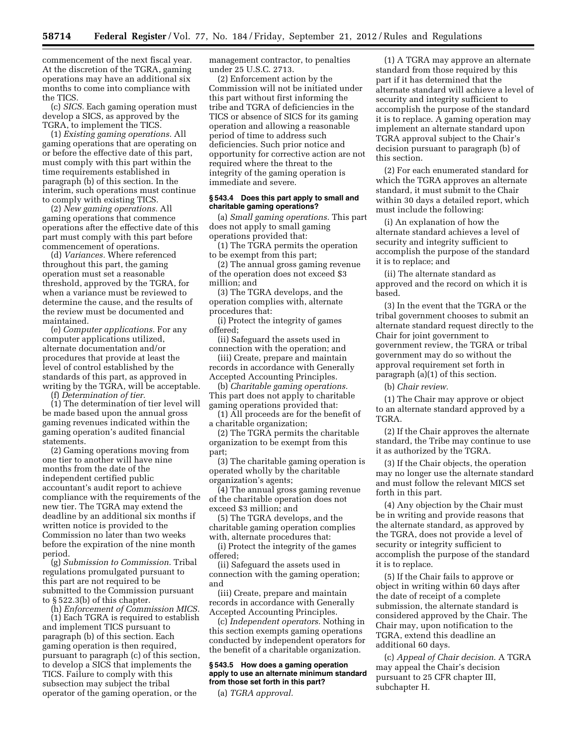commencement of the next fiscal year. At the discretion of the TGRA, gaming operations may have an additional six months to come into compliance with the TICS.

(c) *SICS.* Each gaming operation must develop a SICS, as approved by the TGRA, to implement the TICS.

(1) *Existing gaming operations.* All gaming operations that are operating on or before the effective date of this part, must comply with this part within the time requirements established in paragraph (b) of this section. In the interim, such operations must continue to comply with existing TICS.

(2) *New gaming operations.* All gaming operations that commence operations after the effective date of this part must comply with this part before commencement of operations.

(d) *Variances.* Where referenced throughout this part, the gaming operation must set a reasonable threshold, approved by the TGRA, for when a variance must be reviewed to determine the cause, and the results of the review must be documented and maintained.

(e) *Computer applications.* For any computer applications utilized, alternate documentation and/or procedures that provide at least the level of control established by the standards of this part, as approved in writing by the TGRA, will be acceptable.

(f) *Determination of tier.* 

(1) The determination of tier level will be made based upon the annual gross gaming revenues indicated within the gaming operation's audited financial statements.

(2) Gaming operations moving from one tier to another will have nine months from the date of the independent certified public accountant's audit report to achieve compliance with the requirements of the new tier. The TGRA may extend the deadline by an additional six months if written notice is provided to the Commission no later than two weeks before the expiration of the nine month period.

(g) *Submission to Commission.* Tribal regulations promulgated pursuant to this part are not required to be submitted to the Commission pursuant to § 522.3(b) of this chapter.

(h) *Enforcement of Commission MICS.* 

(1) Each TGRA is required to establish and implement TICS pursuant to paragraph (b) of this section. Each gaming operation is then required, pursuant to paragraph (c) of this section, to develop a SICS that implements the TICS. Failure to comply with this subsection may subject the tribal operator of the gaming operation, or the

management contractor, to penalties under 25 U.S.C. 2713.

(2) Enforcement action by the Commission will not be initiated under this part without first informing the tribe and TGRA of deficiencies in the TICS or absence of SICS for its gaming operation and allowing a reasonable period of time to address such deficiencies. Such prior notice and opportunity for corrective action are not required where the threat to the integrity of the gaming operation is immediate and severe.

#### **§ 543.4 Does this part apply to small and charitable gaming operations?**

(a) *Small gaming operations.* This part does not apply to small gaming operations provided that:

(1) The TGRA permits the operation to be exempt from this part;

(2) The annual gross gaming revenue of the operation does not exceed \$3 million; and

(3) The TGRA develops, and the operation complies with, alternate procedures that:

(i) Protect the integrity of games offered;

(ii) Safeguard the assets used in connection with the operation; and

(iii) Create, prepare and maintain records in accordance with Generally Accepted Accounting Principles.

(b) *Charitable gaming operations.*  This part does not apply to charitable gaming operations provided that:

(1) All proceeds are for the benefit of a charitable organization;

(2) The TGRA permits the charitable organization to be exempt from this part;

(3) The charitable gaming operation is operated wholly by the charitable organization's agents;

(4) The annual gross gaming revenue of the charitable operation does not exceed \$3 million; and

(5) The TGRA develops, and the charitable gaming operation complies with, alternate procedures that:

(i) Protect the integrity of the games offered;

(ii) Safeguard the assets used in connection with the gaming operation; and

(iii) Create, prepare and maintain records in accordance with Generally Accepted Accounting Principles.

(c) *Independent operators.* Nothing in this section exempts gaming operations conducted by independent operators for the benefit of a charitable organization.

#### **§ 543.5 How does a gaming operation apply to use an alternate minimum standard from those set forth in this part?**

(a) *TGRA approval.* 

(1) A TGRA may approve an alternate standard from those required by this part if it has determined that the alternate standard will achieve a level of security and integrity sufficient to accomplish the purpose of the standard it is to replace. A gaming operation may implement an alternate standard upon TGRA approval subject to the Chair's decision pursuant to paragraph (b) of this section.

(2) For each enumerated standard for which the TGRA approves an alternate standard, it must submit to the Chair within 30 days a detailed report, which must include the following:

(i) An explanation of how the alternate standard achieves a level of security and integrity sufficient to accomplish the purpose of the standard it is to replace; and

(ii) The alternate standard as approved and the record on which it is based.

(3) In the event that the TGRA or the tribal government chooses to submit an alternate standard request directly to the Chair for joint government to government review, the TGRA or tribal government may do so without the approval requirement set forth in paragraph (a)(1) of this section.

(b) *Chair review.* 

(1) The Chair may approve or object to an alternate standard approved by a TGRA.

(2) If the Chair approves the alternate standard, the Tribe may continue to use it as authorized by the TGRA.

(3) If the Chair objects, the operation may no longer use the alternate standard and must follow the relevant MICS set forth in this part.

(4) Any objection by the Chair must be in writing and provide reasons that the alternate standard, as approved by the TGRA, does not provide a level of security or integrity sufficient to accomplish the purpose of the standard it is to replace.

(5) If the Chair fails to approve or object in writing within 60 days after the date of receipt of a complete submission, the alternate standard is considered approved by the Chair. The Chair may, upon notification to the TGRA, extend this deadline an additional 60 days.

(c) *Appeal of Chair decision*. A TGRA may appeal the Chair's decision pursuant to 25 CFR chapter III, subchapter H.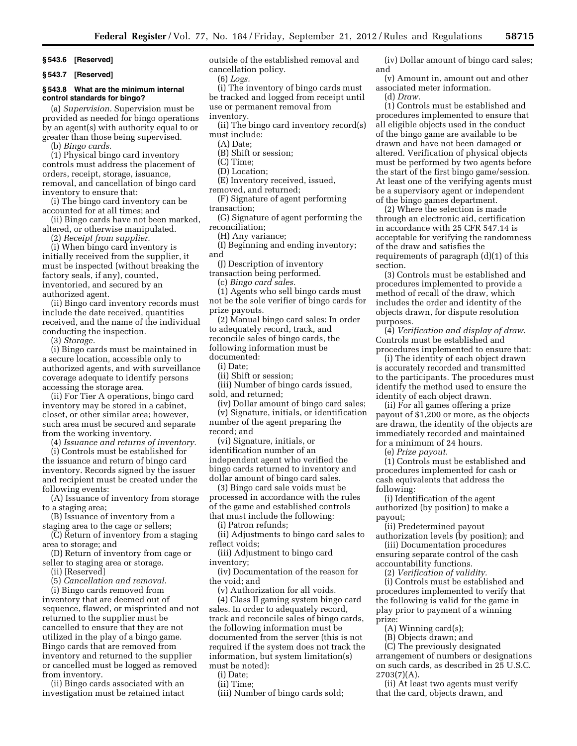**§ 543.6 [Reserved]** 

**§ 543.7 [Reserved]** 

#### **§ 543.8 What are the minimum internal control standards for bingo?**

(a) *Supervision.* Supervision must be provided as needed for bingo operations by an agent(s) with authority equal to or greater than those being supervised.

(b) *Bingo cards.* 

(1) Physical bingo card inventory controls must address the placement of orders, receipt, storage, issuance, removal, and cancellation of bingo card inventory to ensure that:

(i) The bingo card inventory can be accounted for at all times; and

(ii) Bingo cards have not been marked, altered, or otherwise manipulated.

(2) *Receipt from supplier.* 

(i) When bingo card inventory is initially received from the supplier, it must be inspected (without breaking the factory seals, if any), counted, inventoried, and secured by an authorized agent.

(ii) Bingo card inventory records must include the date received, quantities received, and the name of the individual conducting the inspection.

(3) *Storage.* 

(i) Bingo cards must be maintained in a secure location, accessible only to authorized agents, and with surveillance coverage adequate to identify persons accessing the storage area.

(ii) For Tier A operations, bingo card inventory may be stored in a cabinet, closet, or other similar area; however, such area must be secured and separate from the working inventory.

(4) *Issuance and returns of inventory.* 

(i) Controls must be established for the issuance and return of bingo card inventory. Records signed by the issuer and recipient must be created under the following events:

(A) Issuance of inventory from storage to a staging area;

(B) Issuance of inventory from a staging area to the cage or sellers;

(C) Return of inventory from a staging area to storage; and

(D) Return of inventory from cage or seller to staging area or storage.

(ii) [Reserved]

(5) *Cancellation and removal.* 

(i) Bingo cards removed from inventory that are deemed out of sequence, flawed, or misprinted and not returned to the supplier must be cancelled to ensure that they are not utilized in the play of a bingo game. Bingo cards that are removed from inventory and returned to the supplier or cancelled must be logged as removed from inventory.

(ii) Bingo cards associated with an investigation must be retained intact outside of the established removal and cancellation policy.

(6) *Logs.* 

(i) The inventory of bingo cards must be tracked and logged from receipt until use or permanent removal from

inventory.

(ii) The bingo card inventory record(s) must include:

(A) Date;

- (B) Shift or session;
- (C) Time;
- (D) Location;
- (E) Inventory received, issued,

removed, and returned;

(F) Signature of agent performing transaction;

(G) Signature of agent performing the reconciliation;

(H) Any variance;

(I) Beginning and ending inventory; and

(J) Description of inventory

transaction being performed.

(c) *Bingo card sales.* 

(1) Agents who sell bingo cards must not be the sole verifier of bingo cards for prize payouts.

(2) Manual bingo card sales: In order to adequately record, track, and reconcile sales of bingo cards, the following information must be

documented:

(i) Date; (ii) Shift or session;

(iii) Number of bingo cards issued,

sold, and returned;

(iv) Dollar amount of bingo card sales;

(v) Signature, initials, or identification number of the agent preparing the record; and

(vi) Signature, initials, or identification number of an independent agent who verified the bingo cards returned to inventory and dollar amount of bingo card sales.

(3) Bingo card sale voids must be processed in accordance with the rules of the game and established controls that must include the following:

(i) Patron refunds;

(ii) Adjustments to bingo card sales to reflect voids;

(iii) Adjustment to bingo card

inventory; (iv) Documentation of the reason for the void; and

(v) Authorization for all voids.

(4) Class II gaming system bingo card sales. In order to adequately record, track and reconcile sales of bingo cards, the following information must be documented from the server (this is not required if the system does not track the information, but system limitation(s) must be noted):

(i) Date;

(ii) Time;

(iii) Number of bingo cards sold;

(iv) Dollar amount of bingo card sales; and

(v) Amount in, amount out and other associated meter information.

(d) *Draw.* 

(1) Controls must be established and procedures implemented to ensure that all eligible objects used in the conduct of the bingo game are available to be drawn and have not been damaged or altered. Verification of physical objects must be performed by two agents before the start of the first bingo game/session. At least one of the verifying agents must be a supervisory agent or independent of the bingo games department.

(2) Where the selection is made through an electronic aid, certification in accordance with 25 CFR 547.14 is acceptable for verifying the randomness of the draw and satisfies the requirements of paragraph (d)(1) of this section.

(3) Controls must be established and procedures implemented to provide a method of recall of the draw, which includes the order and identity of the objects drawn, for dispute resolution purposes.

(4) *Verification and display of draw.*  Controls must be established and procedures implemented to ensure that:

(i) The identity of each object drawn is accurately recorded and transmitted to the participants. The procedures must identify the method used to ensure the identity of each object drawn.

(ii) For all games offering a prize payout of \$1,200 or more, as the objects are drawn, the identity of the objects are immediately recorded and maintained for a minimum of 24 hours.

(e) *Prize payout.* 

(1) Controls must be established and procedures implemented for cash or cash equivalents that address the following:

(i) Identification of the agent authorized (by position) to make a payout;

(ii) Predetermined payout authorization levels (by position); and

(iii) Documentation procedures ensuring separate control of the cash accountability functions.

(2) *Verification of validity.* 

(i) Controls must be established and procedures implemented to verify that the following is valid for the game in play prior to payment of a winning prize:

(A) Winning card(s);

(B) Objects drawn; and

(C) The previously designated arrangement of numbers or designations on such cards, as described in 25 U.S.C.  $2703(7)(A)$ .

(ii) At least two agents must verify that the card, objects drawn, and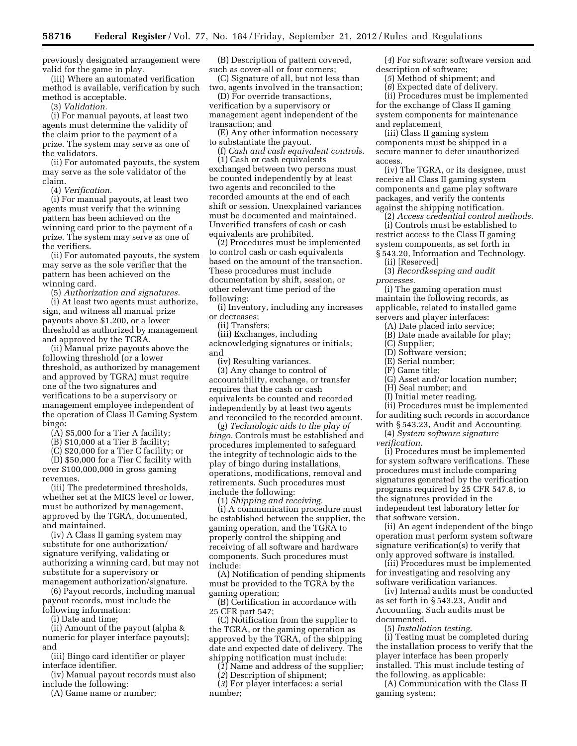previously designated arrangement were valid for the game in play.

(iii) Where an automated verification method is available, verification by such method is acceptable.

(3) *Validation.* 

(i) For manual payouts, at least two agents must determine the validity of the claim prior to the payment of a prize. The system may serve as one of the validators.

(ii) For automated payouts, the system may serve as the sole validator of the claim.

(4) *Verification.* 

(i) For manual payouts, at least two agents must verify that the winning pattern has been achieved on the winning card prior to the payment of a prize. The system may serve as one of the verifiers.

(ii) For automated payouts, the system may serve as the sole verifier that the pattern has been achieved on the winning card.

(5) *Authorization and signatures.* 

(i) At least two agents must authorize, sign, and witness all manual prize payouts above \$1,200, or a lower threshold as authorized by management and approved by the TGRA.

(ii) Manual prize payouts above the following threshold (or a lower threshold, as authorized by management and approved by TGRA) must require one of the two signatures and verifications to be a supervisory or management employee independent of the operation of Class II Gaming System bingo:

(A) \$5,000 for a Tier A facility;

(B) \$10,000 at a Tier B facility;

(C) \$20,000 for a Tier C facility; or (D) \$50,000 for a Tier C facility with over \$100,000,000 in gross gaming revenues.

(iii) The predetermined thresholds, whether set at the MICS level or lower, must be authorized by management, approved by the TGRA, documented, and maintained.

(iv) A Class II gaming system may substitute for one authorization/ signature verifying, validating or authorizing a winning card, but may not substitute for a supervisory or management authorization/signature.

(6) Payout records, including manual payout records, must include the following information:

(i) Date and time;

(ii) Amount of the payout (alpha & numeric for player interface payouts); and

(iii) Bingo card identifier or player interface identifier.

(iv) Manual payout records must also include the following:

(A) Game name or number;

(B) Description of pattern covered, such as cover-all or four corners;

(C) Signature of all, but not less than two, agents involved in the transaction;

(D) For override transactions, verification by a supervisory or management agent independent of the transaction; and

(E) Any other information necessary to substantiate the payout.

(f) *Cash and cash equivalent controls.*  (1) Cash or cash equivalents exchanged between two persons must

be counted independently by at least two agents and reconciled to the recorded amounts at the end of each shift or session. Unexplained variances must be documented and maintained. Unverified transfers of cash or cash equivalents are prohibited.

(2) Procedures must be implemented to control cash or cash equivalents based on the amount of the transaction. These procedures must include documentation by shift, session, or other relevant time period of the following:

(i) Inventory, including any increases or decreases;

(ii) Transfers;

(iii) Exchanges, including acknowledging signatures or initials; and

(iv) Resulting variances. (3) Any change to control of accountability, exchange, or transfer requires that the cash or cash equivalents be counted and recorded independently by at least two agents and reconciled to the recorded amount.

(g) *Technologic aids to the play of bingo.* Controls must be established and procedures implemented to safeguard the integrity of technologic aids to the play of bingo during installations, operations, modifications, removal and retirements. Such procedures must include the following:

(1) *Shipping and receiving.* 

(i) A communication procedure must be established between the supplier, the gaming operation, and the TGRA to properly control the shipping and receiving of all software and hardware components. Such procedures must include:

(A) Notification of pending shipments must be provided to the TGRA by the gaming operation;

(B) Certification in accordance with 25 CFR part 547;

(C) Notification from the supplier to the TGRA, or the gaming operation as approved by the TGRA, of the shipping date and expected date of delivery. The shipping notification must include:

(*1*) Name and address of the supplier;

(*2*) Description of shipment;

(*3*) For player interfaces: a serial number;

(*4*) For software: software version and description of software;

(*5*) Method of shipment; and

(*6*) Expected date of delivery.

(ii) Procedures must be implemented for the exchange of Class II gaming system components for maintenance and replacement.

(iii) Class II gaming system components must be shipped in a secure manner to deter unauthorized access.

(iv) The TGRA, or its designee, must receive all Class II gaming system components and game play software packages, and verify the contents against the shipping notification.

(2) *Access credential control methods.* 

(i) Controls must be established to restrict access to the Class II gaming system components, as set forth in § 543.20, Information and Technology.

(ii) [Reserved]

(3) *Recordkeeping and audit processes.* 

(i) The gaming operation must maintain the following records, as applicable, related to installed game servers and player interfaces:

(A) Date placed into service;

- (B) Date made available for play;
- (C) Supplier;
- (D) Software version;
- (E) Serial number;
- (F) Game title;

(G) Asset and/or location number;

(H) Seal number; and

(I) Initial meter reading.

(ii) Procedures must be implemented for auditing such records in accordance with § 543.23, Audit and Accounting.

(4) *System software signature verification.* 

(i) Procedures must be implemented for system software verifications. These procedures must include comparing signatures generated by the verification programs required by 25 CFR 547.8, to the signatures provided in the independent test laboratory letter for that software version.

(ii) An agent independent of the bingo operation must perform system software signature verification(s) to verify that only approved software is installed.

(iii) Procedures must be implemented for investigating and resolving any software verification variances.

(iv) Internal audits must be conducted as set forth in § 543.23, Audit and Accounting. Such audits must be documented.

(5) *Installation testing.* 

(i) Testing must be completed during the installation process to verify that the player interface has been properly installed. This must include testing of the following, as applicable:

(A) Communication with the Class II gaming system;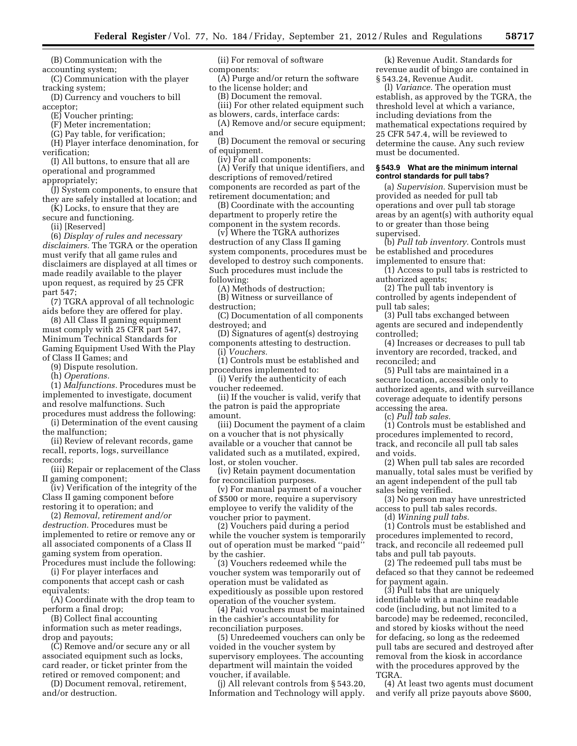(B) Communication with the accounting system;

(C) Communication with the player tracking system;

(D) Currency and vouchers to bill acceptor;

(E) Voucher printing;

(F) Meter incrementation;

(G) Pay table, for verification;

(H) Player interface denomination, for verification;

(I) All buttons, to ensure that all are operational and programmed appropriately;

(J) System components, to ensure that they are safely installed at location; and

(K) Locks, to ensure that they are secure and functioning.

(ii) [Reserved]

(6) *Display of rules and necessary disclaimers.* The TGRA or the operation must verify that all game rules and disclaimers are displayed at all times or made readily available to the player upon request, as required by 25 CFR part 547;

(7) TGRA approval of all technologic aids before they are offered for play.

(8) All Class II gaming equipment must comply with 25 CFR part 547, Minimum Technical Standards for Gaming Equipment Used With the Play of Class II Games; and

(9) Dispute resolution.

(h) *Operations.* 

(1) *Malfunctions.* Procedures must be implemented to investigate, document and resolve malfunctions. Such

procedures must address the following: (i) Determination of the event causing the malfunction;

(ii) Review of relevant records, game recall, reports, logs, surveillance records;

(iii) Repair or replacement of the Class II gaming component;

(iv) Verification of the integrity of the Class II gaming component before restoring it to operation; and

(2) *Removal, retirement and/or destruction.* Procedures must be implemented to retire or remove any or all associated components of a Class II gaming system from operation. Procedures must include the following:

(i) For player interfaces and components that accept cash or cash equivalents:

(A) Coordinate with the drop team to perform a final drop;

(B) Collect final accounting information such as meter readings, drop and payouts;

(C) Remove and/or secure any or all associated equipment such as locks, card reader, or ticket printer from the retired or removed component; and

(D) Document removal, retirement, and/or destruction.

(ii) For removal of software components:

(A) Purge and/or return the software to the license holder; and

(B) Document the removal. (iii) For other related equipment such

as blowers, cards, interface cards: (A) Remove and/or secure equipment;

and

(B) Document the removal or securing of equipment.

(iv) For all components:

(A) Verify that unique identifiers, and descriptions of removed/retired components are recorded as part of the retirement documentation; and

(B) Coordinate with the accounting department to properly retire the component in the system records.

(v) Where the TGRA authorizes destruction of any Class II gaming system components, procedures must be developed to destroy such components. Such procedures must include the following:

(A) Methods of destruction;

(B) Witness or surveillance of destruction;

(C) Documentation of all components destroyed; and

(D) Signatures of agent(s) destroying components attesting to destruction. (i) *Vouchers.* 

(1) Controls must be established and procedures implemented to:

(i) Verify the authenticity of each voucher redeemed.

(ii) If the voucher is valid, verify that the patron is paid the appropriate amount.

(iii) Document the payment of a claim on a voucher that is not physically available or a voucher that cannot be validated such as a mutilated, expired, lost, or stolen voucher.

(iv) Retain payment documentation for reconciliation purposes.

(v) For manual payment of a voucher of \$500 or more, require a supervisory employee to verify the validity of the voucher prior to payment.

(2) Vouchers paid during a period while the voucher system is temporarily out of operation must be marked ''paid'' by the cashier.

(3) Vouchers redeemed while the voucher system was temporarily out of operation must be validated as expeditiously as possible upon restored operation of the voucher system.

(4) Paid vouchers must be maintained in the cashier's accountability for reconciliation purposes.

(5) Unredeemed vouchers can only be voided in the voucher system by supervisory employees. The accounting department will maintain the voided voucher, if available.

(j) All relevant controls from § 543.20, Information and Technology will apply.

(k) Revenue Audit. Standards for revenue audit of bingo are contained in § 543.24, Revenue Audit.

(l) *Variance.* The operation must establish, as approved by the TGRA, the threshold level at which a variance, including deviations from the mathematical expectations required by 25 CFR 547.4, will be reviewed to determine the cause. Any such review must be documented.

#### **§ 543.9 What are the minimum internal control standards for pull tabs?**

(a) *Supervision.* Supervision must be provided as needed for pull tab operations and over pull tab storage areas by an agent(s) with authority equal to or greater than those being supervised.

(b) *Pull tab inventory.* Controls must be established and procedures implemented to ensure that:

(1) Access to pull tabs is restricted to authorized agents;

(2) The pull tab inventory is controlled by agents independent of pull tab sales;

(3) Pull tabs exchanged between agents are secured and independently controlled;

(4) Increases or decreases to pull tab inventory are recorded, tracked, and reconciled; and

(5) Pull tabs are maintained in a secure location, accessible only to authorized agents, and with surveillance coverage adequate to identify persons accessing the area.

(c) *Pull tab sales.* 

(1) Controls must be established and procedures implemented to record, track, and reconcile all pull tab sales and voids.

(2) When pull tab sales are recorded manually, total sales must be verified by an agent independent of the pull tab sales being verified.

(3) No person may have unrestricted access to pull tab sales records.

(d) *Winning pull tabs.* 

(1) Controls must be established and procedures implemented to record, track, and reconcile all redeemed pull tabs and pull tab payouts.

(2) The redeemed pull tabs must be defaced so that they cannot be redeemed for payment again.

(3) Pull tabs that are uniquely identifiable with a machine readable code (including, but not limited to a barcode) may be redeemed, reconciled, and stored by kiosks without the need for defacing, so long as the redeemed pull tabs are secured and destroyed after removal from the kiosk in accordance with the procedures approved by the TGRA.

(4) At least two agents must document and verify all prize payouts above \$600,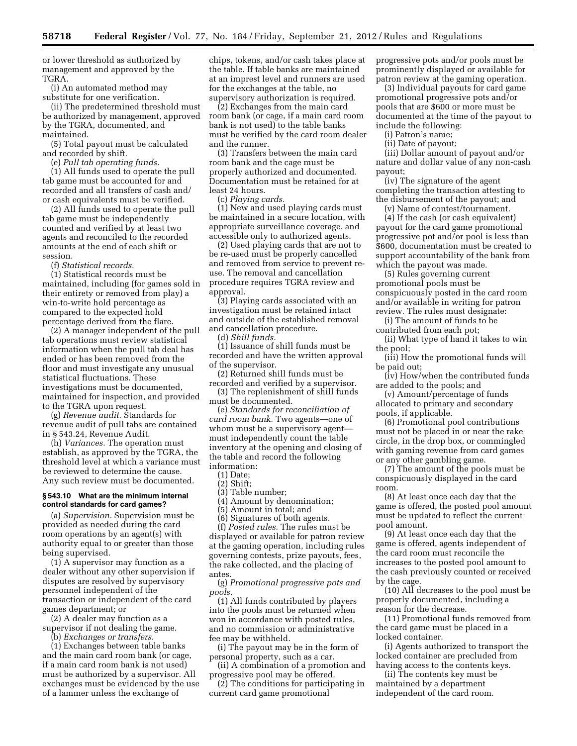or lower threshold as authorized by management and approved by the TGRA.

(i) An automated method may substitute for one verification.

(ii) The predetermined threshold must be authorized by management, approved by the TGRA, documented, and maintained.

(5) Total payout must be calculated and recorded by shift.

(e) *Pull tab operating funds.* 

(1) All funds used to operate the pull tab game must be accounted for and recorded and all transfers of cash and/ or cash equivalents must be verified.

(2) All funds used to operate the pull tab game must be independently counted and verified by at least two agents and reconciled to the recorded amounts at the end of each shift or session.

(f) *Statistical records.* 

(1) Statistical records must be maintained, including (for games sold in their entirety or removed from play) a win-to-write hold percentage as compared to the expected hold percentage derived from the flare.

(2) A manager independent of the pull tab operations must review statistical information when the pull tab deal has ended or has been removed from the floor and must investigate any unusual statistical fluctuations. These investigations must be documented, maintained for inspection, and provided to the TGRA upon request.

(g) *Revenue audit.* Standards for revenue audit of pull tabs are contained in § 543.24, Revenue Audit.

(h) *Variances.* The operation must establish, as approved by the TGRA, the threshold level at which a variance must be reviewed to determine the cause. Any such review must be documented.

#### **§ 543.10 What are the minimum internal control standards for card games?**

(a) *Supervision.* Supervision must be provided as needed during the card room operations by an agent(s) with authority equal to or greater than those being supervised.

(1) A supervisor may function as a dealer without any other supervision if disputes are resolved by supervisory personnel independent of the transaction or independent of the card games department; or

(2) A dealer may function as a supervisor if not dealing the game.

(b) *Exchanges or transfers.* 

(1) Exchanges between table banks and the main card room bank (or cage, if a main card room bank is not used) must be authorized by a supervisor. All exchanges must be evidenced by the use of a lammer unless the exchange of

chips, tokens, and/or cash takes place at the table. If table banks are maintained at an imprest level and runners are used for the exchanges at the table, no supervisory authorization is required.

(2) Exchanges from the main card room bank (or cage, if a main card room bank is not used) to the table banks must be verified by the card room dealer and the runner.

(3) Transfers between the main card room bank and the cage must be properly authorized and documented. Documentation must be retained for at least 24 hours.

(c) *Playing cards.* 

(1) New and used playing cards must be maintained in a secure location, with appropriate surveillance coverage, and accessible only to authorized agents.

(2) Used playing cards that are not to be re-used must be properly cancelled and removed from service to prevent reuse. The removal and cancellation procedure requires TGRA review and approval.

(3) Playing cards associated with an investigation must be retained intact and outside of the established removal and cancellation procedure.

(d) *Shill funds.* 

(1) Issuance of shill funds must be recorded and have the written approval of the supervisor.

(2) Returned shill funds must be recorded and verified by a supervisor.

(3) The replenishment of shill funds must be documented.

(e) *Standards for reconciliation of card room bank.* Two agents—one of whom must be a supervisory agent must independently count the table inventory at the opening and closing of the table and record the following information:

(1) Date;

(2) Shift;

(3) Table number;

(4) Amount by denomination;

(5) Amount in total; and

(6) Signatures of both agents.

(f) *Posted rules.* The rules must be displayed or available for patron review at the gaming operation, including rules governing contests, prize payouts, fees, the rake collected, and the placing of antes.

(g) *Promotional progressive pots and pools.* 

(1) All funds contributed by players into the pools must be returned when won in accordance with posted rules, and no commission or administrative fee may be withheld.

(i) The payout may be in the form of personal property, such as a car.

(ii) A combination of a promotion and progressive pool may be offered.

(2) The conditions for participating in current card game promotional

progressive pots and/or pools must be prominently displayed or available for patron review at the gaming operation.

(3) Individual payouts for card game promotional progressive pots and/or pools that are \$600 or more must be documented at the time of the payout to include the following:

(i) Patron's name;

(ii) Date of payout;

(iii) Dollar amount of payout and/or nature and dollar value of any non-cash payout;

(iv) The signature of the agent completing the transaction attesting to the disbursement of the payout; and

(v) Name of contest/tournament.

(4) If the cash (or cash equivalent) payout for the card game promotional progressive pot and/or pool is less than \$600, documentation must be created to support accountability of the bank from which the payout was made.

(5) Rules governing current promotional pools must be conspicuously posted in the card room and/or available in writing for patron review. The rules must designate:

(i) The amount of funds to be contributed from each pot;

(ii) What type of hand it takes to win the pool;

(iii) How the promotional funds will be paid out;

(iv) How/when the contributed funds are added to the pools; and

(v) Amount/percentage of funds allocated to primary and secondary pools, if applicable.

(6) Promotional pool contributions must not be placed in or near the rake circle, in the drop box, or commingled with gaming revenue from card games or any other gambling game.

(7) The amount of the pools must be conspicuously displayed in the card room.

(8) At least once each day that the game is offered, the posted pool amount must be updated to reflect the current pool amount.

(9) At least once each day that the game is offered, agents independent of the card room must reconcile the increases to the posted pool amount to the cash previously counted or received by the cage.

(10) All decreases to the pool must be properly documented, including a reason for the decrease.

(11) Promotional funds removed from the card game must be placed in a locked container.

(i) Agents authorized to transport the locked container are precluded from having access to the contents keys.

(ii) The contents key must be maintained by a department independent of the card room.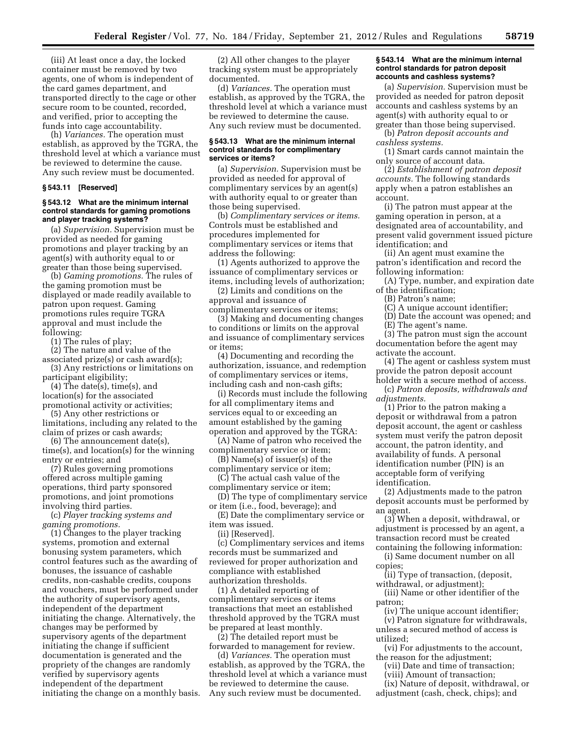(iii) At least once a day, the locked container must be removed by two agents, one of whom is independent of the card games department, and transported directly to the cage or other secure room to be counted, recorded, and verified, prior to accepting the funds into cage accountability.

(h) *Variances.* The operation must establish, as approved by the TGRA, the threshold level at which a variance must be reviewed to determine the cause. Any such review must be documented.

#### **§ 543.11 [Reserved]**

#### **§ 543.12 What are the minimum internal control standards for gaming promotions and player tracking systems?**

(a) *Supervision.* Supervision must be provided as needed for gaming promotions and player tracking by an agent(s) with authority equal to or greater than those being supervised.

(b) *Gaming promotions.* The rules of the gaming promotion must be displayed or made readily available to patron upon request. Gaming promotions rules require TGRA approval and must include the following:

(1) The rules of play;

(2) The nature and value of the

associated prize(s) or cash award(s); (3) Any restrictions or limitations on

participant eligibility; (4) The date(s), time(s), and location(s) for the associated

promotional activity or activities; (5) Any other restrictions or

limitations, including any related to the claim of prizes or cash awards; (6) The announcement date(s),

time(s), and location(s) for the winning entry or entries; and

(7) Rules governing promotions offered across multiple gaming operations, third party sponsored promotions, and joint promotions involving third parties.

(c) *Player tracking systems and gaming promotions.* 

(1) Changes to the player tracking systems, promotion and external bonusing system parameters, which control features such as the awarding of bonuses, the issuance of cashable credits, non-cashable credits, coupons and vouchers, must be performed under the authority of supervisory agents, independent of the department initiating the change. Alternatively, the changes may be performed by supervisory agents of the department initiating the change if sufficient documentation is generated and the propriety of the changes are randomly verified by supervisory agents independent of the department initiating the change on a monthly basis.

(2) All other changes to the player tracking system must be appropriately documented.

(d) *Variances.* The operation must establish, as approved by the TGRA, the threshold level at which a variance must be reviewed to determine the cause. Any such review must be documented.

#### **§ 543.13 What are the minimum internal control standards for complimentary services or items?**

(a) *Supervision.* Supervision must be provided as needed for approval of complimentary services by an agent(s) with authority equal to or greater than those being supervised.

(b) *Complimentary services or items.*  Controls must be established and procedures implemented for complimentary services or items that address the following:

(1) Agents authorized to approve the issuance of complimentary services or items, including levels of authorization;

(2) Limits and conditions on the approval and issuance of complimentary services or items;

(3) Making and documenting changes to conditions or limits on the approval and issuance of complimentary services or items;

(4) Documenting and recording the authorization, issuance, and redemption of complimentary services or items, including cash and non-cash gifts;

(i) Records must include the following for all complimentary items and services equal to or exceeding an amount established by the gaming operation and approved by the TGRA:

(A) Name of patron who received the complimentary service or item;

(B) Name(s) of issuer(s) of the complimentary service or item;

(C) The actual cash value of the complimentary service or item;

(D) The type of complimentary service or item (i.e., food, beverage); and

(E) Date the complimentary service or item was issued.

(ii) [Reserved].

(c) Complimentary services and items records must be summarized and reviewed for proper authorization and compliance with established authorization thresholds.

(1) A detailed reporting of complimentary services or items transactions that meet an established threshold approved by the TGRA must be prepared at least monthly.

(2) The detailed report must be forwarded to management for review.

(d) *Variances.* The operation must establish, as approved by the TGRA, the threshold level at which a variance must be reviewed to determine the cause. Any such review must be documented.

#### **§ 543.14 What are the minimum internal control standards for patron deposit accounts and cashless systems?**

(a) *Supervision.* Supervision must be provided as needed for patron deposit accounts and cashless systems by an agent(s) with authority equal to or greater than those being supervised.

(b) *Patron deposit accounts and cashless systems.* 

(1) Smart cards cannot maintain the only source of account data.

(2) *Establishment of patron deposit accounts.* The following standards apply when a patron establishes an account.

(i) The patron must appear at the gaming operation in person, at a designated area of accountability, and present valid government issued picture identification; and

(ii) An agent must examine the patron's identification and record the following information:

(A) Type, number, and expiration date of the identification;

(B) Patron's name;

(C) A unique account identifier;

(D) Date the account was opened; and

(E) The agent's name.

(3) The patron must sign the account documentation before the agent may activate the account.

(4) The agent or cashless system must provide the patron deposit account holder with a secure method of access.

(c) *Patron deposits, withdrawals and adjustments.* 

(1) Prior to the patron making a deposit or withdrawal from a patron deposit account, the agent or cashless system must verify the patron deposit account, the patron identity, and availability of funds. A personal identification number (PIN) is an acceptable form of verifying identification.

(2) Adjustments made to the patron deposit accounts must be performed by an agent.

(3) When a deposit, withdrawal, or adjustment is processed by an agent, a transaction record must be created containing the following information:

(i) Same document number on all copies;

(ii) Type of transaction, (deposit, withdrawal, or adjustment);

(iii) Name or other identifier of the patron;

(iv) The unique account identifier; (v) Patron signature for withdrawals, unless a secured method of access is utilized;

(vi) For adjustments to the account, the reason for the adjustment;

(vii) Date and time of transaction;

(viii) Amount of transaction;

(ix) Nature of deposit, withdrawal, or adjustment (cash, check, chips); and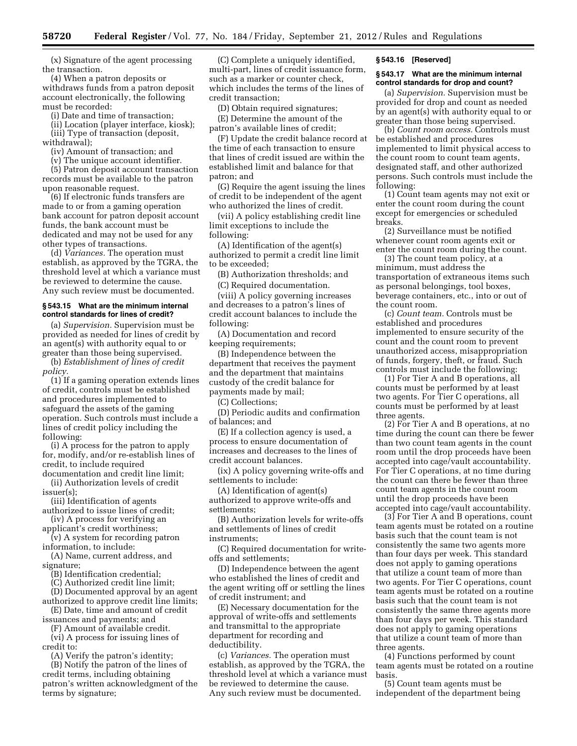(x) Signature of the agent processing the transaction.

(4) When a patron deposits or withdraws funds from a patron deposit account electronically, the following must be recorded:

(i) Date and time of transaction;

(ii) Location (player interface, kiosk); (iii) Type of transaction (deposit,

withdrawal);

(iv) Amount of transaction; and (v) The unique account identifier.

(5) Patron deposit account transaction records must be available to the patron upon reasonable request.

(6) If electronic funds transfers are made to or from a gaming operation bank account for patron deposit account funds, the bank account must be dedicated and may not be used for any other types of transactions.

(d) *Variances.* The operation must establish, as approved by the TGRA, the threshold level at which a variance must be reviewed to determine the cause. Any such review must be documented.

#### **§ 543.15 What are the minimum internal control standards for lines of credit?**

(a) *Supervision.* Supervision must be provided as needed for lines of credit by an agent(s) with authority equal to or greater than those being supervised.

(b) *Establishment of lines of credit policy.* 

(1) If a gaming operation extends lines of credit, controls must be established and procedures implemented to safeguard the assets of the gaming operation. Such controls must include a lines of credit policy including the following:

(i) A process for the patron to apply for, modify, and/or re-establish lines of credit, to include required

documentation and credit line limit; (ii) Authorization levels of credit issuer(s);

(iii) Identification of agents

authorized to issue lines of credit; (iv) A process for verifying an

applicant's credit worthiness; (v) A system for recording patron

information, to include: (A) Name, current address, and signature;

(B) Identification credential;

(C) Authorized credit line limit;

(D) Documented approval by an agent authorized to approve credit line limits;

(E) Date, time and amount of credit

issuances and payments; and (F) Amount of available credit.

(vi) A process for issuing lines of credit to:

(A) Verify the patron's identity;

(B) Notify the patron of the lines of credit terms, including obtaining patron's written acknowledgment of the terms by signature;

(C) Complete a uniquely identified, multi-part, lines of credit issuance form, such as a marker or counter check, which includes the terms of the lines of credit transaction;

(D) Obtain required signatures;

(E) Determine the amount of the patron's available lines of credit;

(F) Update the credit balance record at the time of each transaction to ensure that lines of credit issued are within the established limit and balance for that patron; and

(G) Require the agent issuing the lines of credit to be independent of the agent who authorized the lines of credit.

(vii) A policy establishing credit line limit exceptions to include the following:

(A) Identification of the agent(s) authorized to permit a credit line limit to be exceeded;

(B) Authorization thresholds; and

(C) Required documentation.

(viii) A policy governing increases and decreases to a patron's lines of credit account balances to include the following:

(A) Documentation and record keeping requirements;

(B) Independence between the department that receives the payment and the department that maintains custody of the credit balance for payments made by mail;

(C) Collections;

(D) Periodic audits and confirmation of balances; and

(E) If a collection agency is used, a process to ensure documentation of increases and decreases to the lines of credit account balances.

(ix) A policy governing write-offs and settlements to include:

(A) Identification of agent(s) authorized to approve write-offs and settlements;

(B) Authorization levels for write-offs and settlements of lines of credit instruments;

(C) Required documentation for writeoffs and settlements;

(D) Independence between the agent who established the lines of credit and the agent writing off or settling the lines of credit instrument; and

(E) Necessary documentation for the approval of write-offs and settlements and transmittal to the appropriate department for recording and deductibility.

(c) *Variances.* The operation must establish, as approved by the TGRA, the threshold level at which a variance must be reviewed to determine the cause. Any such review must be documented.

#### **§ 543.16 [Reserved]**

#### **§ 543.17 What are the minimum internal control standards for drop and count?**

(a) *Supervision.* Supervision must be provided for drop and count as needed by an agent(s) with authority equal to or greater than those being supervised.

(b) *Count room access.* Controls must be established and procedures implemented to limit physical access to the count room to count team agents, designated staff, and other authorized persons. Such controls must include the following:

(1) Count team agents may not exit or enter the count room during the count except for emergencies or scheduled breaks.

(2) Surveillance must be notified whenever count room agents exit or enter the count room during the count.

(3) The count team policy, at a minimum, must address the transportation of extraneous items such as personal belongings, tool boxes, beverage containers, etc., into or out of the count room.

(c) *Count team.* Controls must be established and procedures implemented to ensure security of the count and the count room to prevent unauthorized access, misappropriation of funds, forgery, theft, or fraud. Such controls must include the following:

(1) For Tier A and B operations, all counts must be performed by at least two agents. For Tier C operations, all counts must be performed by at least three agents.

(2) For Tier A and B operations, at no time during the count can there be fewer than two count team agents in the count room until the drop proceeds have been accepted into cage/vault accountability. For Tier C operations, at no time during the count can there be fewer than three count team agents in the count room until the drop proceeds have been accepted into cage/vault accountability.

(3) For Tier A and B operations, count team agents must be rotated on a routine basis such that the count team is not consistently the same two agents more than four days per week. This standard does not apply to gaming operations that utilize a count team of more than two agents. For Tier C operations, count team agents must be rotated on a routine basis such that the count team is not consistently the same three agents more than four days per week. This standard does not apply to gaming operations that utilize a count team of more than three agents.

(4) Functions performed by count team agents must be rotated on a routine basis.

(5) Count team agents must be independent of the department being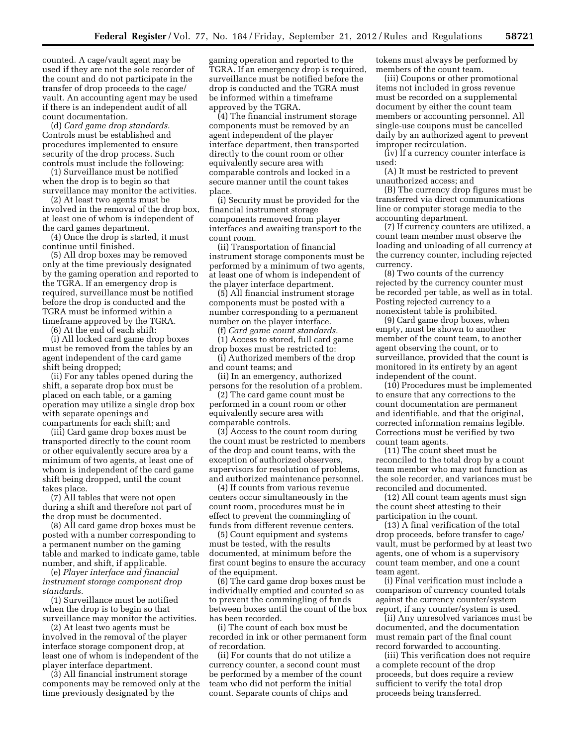counted. A cage/vault agent may be used if they are not the sole recorder of the count and do not participate in the transfer of drop proceeds to the cage/ vault. An accounting agent may be used if there is an independent audit of all count documentation.

(d) *Card game drop standards.*  Controls must be established and procedures implemented to ensure security of the drop process. Such controls must include the following:

(1) Surveillance must be notified when the drop is to begin so that surveillance may monitor the activities.

(2) At least two agents must be involved in the removal of the drop box, at least one of whom is independent of the card games department.

(4) Once the drop is started, it must continue until finished.

(5) All drop boxes may be removed only at the time previously designated by the gaming operation and reported to the TGRA. If an emergency drop is required, surveillance must be notified before the drop is conducted and the TGRA must be informed within a timeframe approved by the TGRA.

(6) At the end of each shift:

(i) All locked card game drop boxes must be removed from the tables by an agent independent of the card game shift being dropped;

(ii) For any tables opened during the shift, a separate drop box must be placed on each table, or a gaming operation may utilize a single drop box with separate openings and compartments for each shift; and

(iii) Card game drop boxes must be transported directly to the count room or other equivalently secure area by a minimum of two agents, at least one of whom is independent of the card game shift being dropped, until the count takes place.

(7) All tables that were not open during a shift and therefore not part of the drop must be documented.

(8) All card game drop boxes must be posted with a number corresponding to a permanent number on the gaming table and marked to indicate game, table number, and shift, if applicable.

(e) *Player interface and financial instrument storage component drop standards.* 

(1) Surveillance must be notified when the drop is to begin so that surveillance may monitor the activities.

(2) At least two agents must be involved in the removal of the player interface storage component drop, at least one of whom is independent of the player interface department.

(3) All financial instrument storage components may be removed only at the time previously designated by the

gaming operation and reported to the TGRA. If an emergency drop is required, surveillance must be notified before the drop is conducted and the TGRA must be informed within a timeframe approved by the TGRA.

(4) The financial instrument storage components must be removed by an agent independent of the player interface department, then transported directly to the count room or other equivalently secure area with comparable controls and locked in a secure manner until the count takes place.

(i) Security must be provided for the financial instrument storage components removed from player interfaces and awaiting transport to the count room.

(ii) Transportation of financial instrument storage components must be performed by a minimum of two agents, at least one of whom is independent of the player interface department.

(5) All financial instrument storage components must be posted with a number corresponding to a permanent number on the player interface.

(f) *Card game count standards.* 

(1) Access to stored, full card game drop boxes must be restricted to:

(i) Authorized members of the drop and count teams; and

(ii) In an emergency, authorized persons for the resolution of a problem.

(2) The card game count must be performed in a count room or other equivalently secure area with comparable controls.

(3) Access to the count room during the count must be restricted to members of the drop and count teams, with the exception of authorized observers, supervisors for resolution of problems, and authorized maintenance personnel.

(4) If counts from various revenue centers occur simultaneously in the count room, procedures must be in effect to prevent the commingling of funds from different revenue centers.

(5) Count equipment and systems must be tested, with the results documented, at minimum before the first count begins to ensure the accuracy of the equipment.

(6) The card game drop boxes must be individually emptied and counted so as to prevent the commingling of funds between boxes until the count of the box has been recorded.

(i) The count of each box must be recorded in ink or other permanent form of recordation.

(ii) For counts that do not utilize a currency counter, a second count must be performed by a member of the count team who did not perform the initial count. Separate counts of chips and

tokens must always be performed by members of the count team.

(iii) Coupons or other promotional items not included in gross revenue must be recorded on a supplemental document by either the count team members or accounting personnel. All single-use coupons must be cancelled daily by an authorized agent to prevent improper recirculation.

(iv) If a currency counter interface is used:

(A) It must be restricted to prevent unauthorized access; and

(B) The currency drop figures must be transferred via direct communications line or computer storage media to the accounting department.

(7) If currency counters are utilized, a count team member must observe the loading and unloading of all currency at the currency counter, including rejected currency.

(8) Two counts of the currency rejected by the currency counter must be recorded per table, as well as in total. Posting rejected currency to a nonexistent table is prohibited.

(9) Card game drop boxes, when empty, must be shown to another member of the count team, to another agent observing the count, or to surveillance, provided that the count is monitored in its entirety by an agent independent of the count.

(10) Procedures must be implemented to ensure that any corrections to the count documentation are permanent and identifiable, and that the original, corrected information remains legible. Corrections must be verified by two count team agents.

(11) The count sheet must be reconciled to the total drop by a count team member who may not function as the sole recorder, and variances must be reconciled and documented.

(12) All count team agents must sign the count sheet attesting to their participation in the count.

(13) A final verification of the total drop proceeds, before transfer to cage/ vault, must be performed by at least two agents, one of whom is a supervisory count team member, and one a count team agent.

(i) Final verification must include a comparison of currency counted totals against the currency counter/system report, if any counter/system is used.

(ii) Any unresolved variances must be documented, and the documentation must remain part of the final count record forwarded to accounting.

(iii) This verification does not require a complete recount of the drop proceeds, but does require a review sufficient to verify the total drop proceeds being transferred.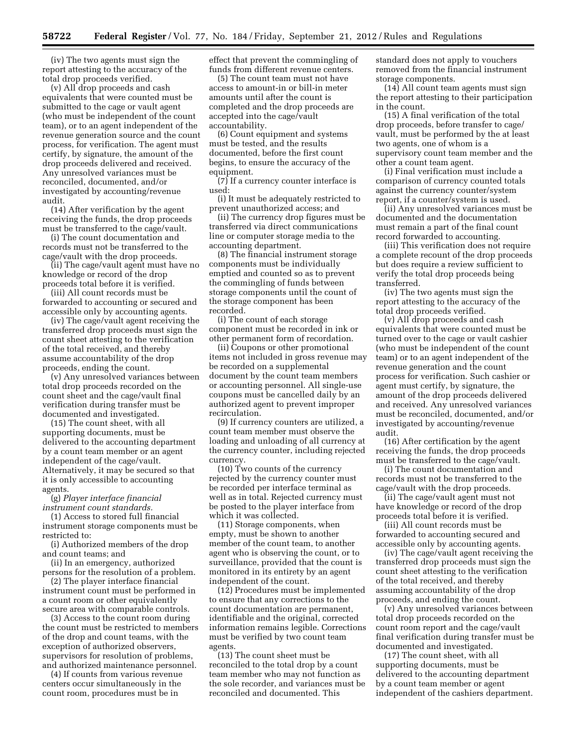(iv) The two agents must sign the report attesting to the accuracy of the total drop proceeds verified.

(v) All drop proceeds and cash equivalents that were counted must be submitted to the cage or vault agent (who must be independent of the count team), or to an agent independent of the revenue generation source and the count process, for verification. The agent must certify, by signature, the amount of the drop proceeds delivered and received. Any unresolved variances must be reconciled, documented, and/or investigated by accounting/revenue audit.

(14) After verification by the agent receiving the funds, the drop proceeds must be transferred to the cage/vault.

(i) The count documentation and records must not be transferred to the cage/vault with the drop proceeds.

(ii) The cage/vault agent must have no knowledge or record of the drop proceeds total before it is verified.

(iii) All count records must be forwarded to accounting or secured and accessible only by accounting agents.

(iv) The cage/vault agent receiving the transferred drop proceeds must sign the count sheet attesting to the verification of the total received, and thereby assume accountability of the drop proceeds, ending the count.

(v) Any unresolved variances between total drop proceeds recorded on the count sheet and the cage/vault final verification during transfer must be documented and investigated.

(15) The count sheet, with all supporting documents, must be delivered to the accounting department by a count team member or an agent independent of the cage/vault. Alternatively, it may be secured so that it is only accessible to accounting agents.

(g) *Player interface financial instrument count standards.* 

(1) Access to stored full financial instrument storage components must be restricted to:

(i) Authorized members of the drop and count teams; and

(ii) In an emergency, authorized persons for the resolution of a problem.

(2) The player interface financial instrument count must be performed in a count room or other equivalently secure area with comparable controls.

(3) Access to the count room during the count must be restricted to members of the drop and count teams, with the exception of authorized observers, supervisors for resolution of problems, and authorized maintenance personnel.

(4) If counts from various revenue centers occur simultaneously in the count room, procedures must be in

effect that prevent the commingling of funds from different revenue centers.

(5) The count team must not have access to amount-in or bill-in meter amounts until after the count is completed and the drop proceeds are accepted into the cage/vault accountability.

(6) Count equipment and systems must be tested, and the results documented, before the first count begins, to ensure the accuracy of the equipment.

(7) If a currency counter interface is used:

(i) It must be adequately restricted to prevent unauthorized access; and

(ii) The currency drop figures must be transferred via direct communications line or computer storage media to the accounting department.

(8) The financial instrument storage components must be individually emptied and counted so as to prevent the commingling of funds between storage components until the count of the storage component has been recorded.

(i) The count of each storage component must be recorded in ink or other permanent form of recordation.

(ii) Coupons or other promotional items not included in gross revenue may be recorded on a supplemental document by the count team members or accounting personnel. All single-use coupons must be cancelled daily by an authorized agent to prevent improper recirculation.

(9) If currency counters are utilized, a count team member must observe the loading and unloading of all currency at the currency counter, including rejected currency.

(10) Two counts of the currency rejected by the currency counter must be recorded per interface terminal as well as in total. Rejected currency must be posted to the player interface from which it was collected.

(11) Storage components, when empty, must be shown to another member of the count team, to another agent who is observing the count, or to surveillance, provided that the count is monitored in its entirety by an agent independent of the count.

(12) Procedures must be implemented to ensure that any corrections to the count documentation are permanent, identifiable and the original, corrected information remains legible. Corrections must be verified by two count team agents.

(13) The count sheet must be reconciled to the total drop by a count team member who may not function as the sole recorder, and variances must be reconciled and documented. This

standard does not apply to vouchers removed from the financial instrument storage components.

(14) All count team agents must sign the report attesting to their participation in the count.

(15) A final verification of the total drop proceeds, before transfer to cage/ vault, must be performed by the at least two agents, one of whom is a supervisory count team member and the other a count team agent.

(i) Final verification must include a comparison of currency counted totals against the currency counter/system report, if a counter/system is used.

(ii) Any unresolved variances must be documented and the documentation must remain a part of the final count record forwarded to accounting.

(iii) This verification does not require a complete recount of the drop proceeds but does require a review sufficient to verify the total drop proceeds being transferred.

(iv) The two agents must sign the report attesting to the accuracy of the total drop proceeds verified.

(v) All drop proceeds and cash equivalents that were counted must be turned over to the cage or vault cashier (who must be independent of the count team) or to an agent independent of the revenue generation and the count process for verification. Such cashier or agent must certify, by signature, the amount of the drop proceeds delivered and received. Any unresolved variances must be reconciled, documented, and/or investigated by accounting/revenue audit.

(16) After certification by the agent receiving the funds, the drop proceeds must be transferred to the cage/vault.

(i) The count documentation and records must not be transferred to the cage/vault with the drop proceeds.

(ii) The cage/vault agent must not have knowledge or record of the drop proceeds total before it is verified.

(iii) All count records must be forwarded to accounting secured and accessible only by accounting agents.

(iv) The cage/vault agent receiving the transferred drop proceeds must sign the count sheet attesting to the verification of the total received, and thereby assuming accountability of the drop proceeds, and ending the count.

(v) Any unresolved variances between total drop proceeds recorded on the count room report and the cage/vault final verification during transfer must be documented and investigated.

(17) The count sheet, with all supporting documents, must be delivered to the accounting department by a count team member or agent independent of the cashiers department.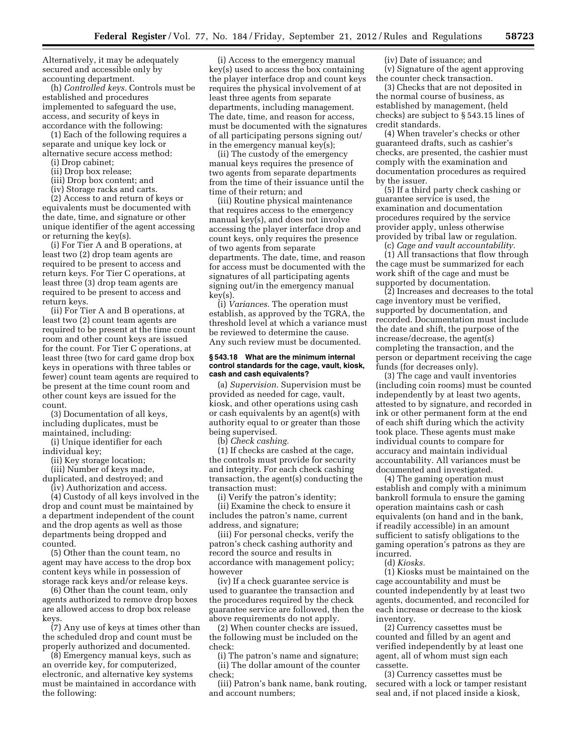Alternatively, it may be adequately secured and accessible only by accounting department.

(h) *Controlled keys.* Controls must be established and procedures implemented to safeguard the use, access, and security of keys in accordance with the following:

(1) Each of the following requires a separate and unique key lock or alternative secure access method:

(i) Drop cabinet;

(ii) Drop box release;

(iii) Drop box content; and

(iv) Storage racks and carts.

(2) Access to and return of keys or equivalents must be documented with the date, time, and signature or other unique identifier of the agent accessing or returning the key(s).

(i) For Tier A and B operations, at least two (2) drop team agents are required to be present to access and return keys. For Tier C operations, at least three (3) drop team agents are required to be present to access and return keys.

(ii) For Tier A and B operations, at least two (2) count team agents are required to be present at the time count room and other count keys are issued for the count. For Tier C operations, at least three (two for card game drop box keys in operations with three tables or fewer) count team agents are required to be present at the time count room and other count keys are issued for the count.

(3) Documentation of all keys, including duplicates, must be maintained, including:

(i) Unique identifier for each individual key;

- (ii) Key storage location;
- (iii) Number of keys made,

duplicated, and destroyed; and

(iv) Authorization and access.

(4) Custody of all keys involved in the drop and count must be maintained by a department independent of the count and the drop agents as well as those departments being dropped and counted.

(5) Other than the count team, no agent may have access to the drop box content keys while in possession of storage rack keys and/or release keys.

(6) Other than the count team, only agents authorized to remove drop boxes are allowed access to drop box release keys.

(7) Any use of keys at times other than the scheduled drop and count must be properly authorized and documented.

(8) Emergency manual keys, such as an override key, for computerized, electronic, and alternative key systems must be maintained in accordance with the following:

(i) Access to the emergency manual key(s) used to access the box containing the player interface drop and count keys requires the physical involvement of at least three agents from separate departments, including management. The date, time, and reason for access, must be documented with the signatures of all participating persons signing out/ in the emergency manual key(s);

(ii) The custody of the emergency manual keys requires the presence of two agents from separate departments from the time of their issuance until the time of their return; and

(iii) Routine physical maintenance that requires access to the emergency manual key(s), and does not involve accessing the player interface drop and count keys, only requires the presence of two agents from separate departments. The date, time, and reason for access must be documented with the signatures of all participating agents signing out/in the emergency manual key(s).

(i) *Variances.* The operation must establish, as approved by the TGRA, the threshold level at which a variance must be reviewed to determine the cause. Any such review must be documented.

#### **§ 543.18 What are the minimum internal control standards for the cage, vault, kiosk, cash and cash equivalents?**

(a) *Supervision.* Supervision must be provided as needed for cage, vault, kiosk, and other operations using cash or cash equivalents by an agent(s) with authority equal to or greater than those being supervised.

(b) *Check cashing.* 

(1) If checks are cashed at the cage, the controls must provide for security and integrity. For each check cashing transaction, the agent(s) conducting the transaction must:

(i) Verify the patron's identity;

(ii) Examine the check to ensure it includes the patron's name, current address, and signature;

(iii) For personal checks, verify the patron's check cashing authority and record the source and results in accordance with management policy; however

(iv) If a check guarantee service is used to guarantee the transaction and the procedures required by the check guarantee service are followed, then the above requirements do not apply.

(2) When counter checks are issued, the following must be included on the check:

(i) The patron's name and signature; (ii) The dollar amount of the counter check;

(iii) Patron's bank name, bank routing, and account numbers;

(iv) Date of issuance; and

(v) Signature of the agent approving the counter check transaction.

(3) Checks that are not deposited in the normal course of business, as established by management, (held checks) are subject to § 543.15 lines of credit standards.

(4) When traveler's checks or other guaranteed drafts, such as cashier's checks, are presented, the cashier must comply with the examination and documentation procedures as required by the issuer.

(5) If a third party check cashing or guarantee service is used, the examination and documentation procedures required by the service provider apply, unless otherwise provided by tribal law or regulation.

(c) *Cage and vault accountability.*  (1) All transactions that flow through the cage must be summarized for each work shift of the cage and must be supported by documentation.

(2) Increases and decreases to the total cage inventory must be verified, supported by documentation, and recorded. Documentation must include the date and shift, the purpose of the increase/decrease, the agent(s) completing the transaction, and the person or department receiving the cage funds (for decreases only).

(3) The cage and vault inventories (including coin rooms) must be counted independently by at least two agents, attested to by signature, and recorded in ink or other permanent form at the end of each shift during which the activity took place. These agents must make individual counts to compare for accuracy and maintain individual accountability. All variances must be documented and investigated.

(4) The gaming operation must establish and comply with a minimum bankroll formula to ensure the gaming operation maintains cash or cash equivalents (on hand and in the bank, if readily accessible) in an amount sufficient to satisfy obligations to the gaming operation's patrons as they are incurred.

(d) *Kiosks.* 

(1) Kiosks must be maintained on the cage accountability and must be counted independently by at least two agents, documented, and reconciled for each increase or decrease to the kiosk inventory.

(2) Currency cassettes must be counted and filled by an agent and verified independently by at least one agent, all of whom must sign each cassette.

(3) Currency cassettes must be secured with a lock or tamper resistant seal and, if not placed inside a kiosk,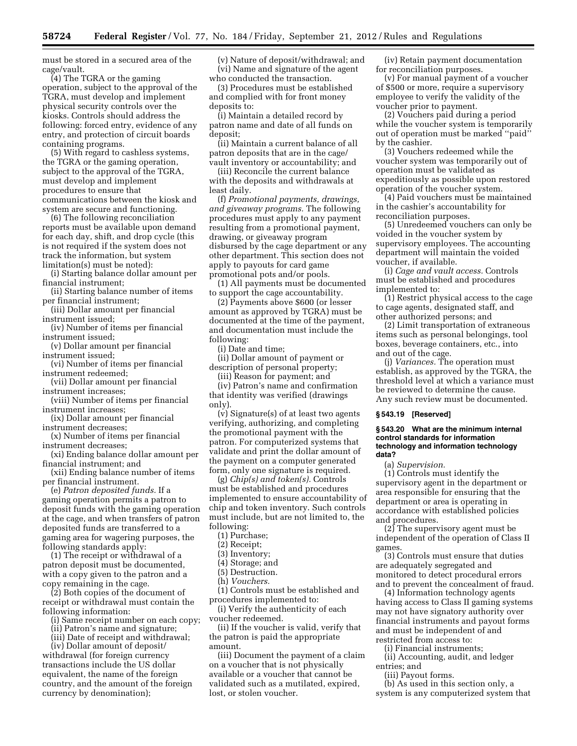must be stored in a secured area of the cage/vault.

(4) The TGRA or the gaming operation, subject to the approval of the TGRA, must develop and implement physical security controls over the kiosks. Controls should address the following: forced entry, evidence of any entry, and protection of circuit boards containing programs.

(5) With regard to cashless systems, the TGRA or the gaming operation, subject to the approval of the TGRA, must develop and implement procedures to ensure that communications between the kiosk and system are secure and functioning.

(6) The following reconciliation reports must be available upon demand for each day, shift, and drop cycle (this is not required if the system does not track the information, but system limitation(s) must be noted):

(i) Starting balance dollar amount per financial instrument;

(ii) Starting balance number of items per financial instrument;

(iii) Dollar amount per financial instrument issued;

(iv) Number of items per financial instrument issued;

(v) Dollar amount per financial instrument issued;

(vi) Number of items per financial instrument redeemed;

(vii) Dollar amount per financial instrument increases;

(viii) Number of items per financial instrument increases;

(ix) Dollar amount per financial instrument decreases;

(x) Number of items per financial instrument decreases;

(xi) Ending balance dollar amount per financial instrument; and

(xii) Ending balance number of items per financial instrument.

(e) *Patron deposited funds.* If a gaming operation permits a patron to deposit funds with the gaming operation at the cage, and when transfers of patron deposited funds are transferred to a gaming area for wagering purposes, the following standards apply:

(1) The receipt or withdrawal of a patron deposit must be documented, with a copy given to the patron and a copy remaining in the cage.

(2) Both copies of the document of receipt or withdrawal must contain the following information:

(i) Same receipt number on each copy;

(ii) Patron's name and signature;

(iii) Date of receipt and withdrawal;

(iv) Dollar amount of deposit/ withdrawal (for foreign currency transactions include the US dollar equivalent, the name of the foreign country, and the amount of the foreign currency by denomination);

(v) Nature of deposit/withdrawal; and (vi) Name and signature of the agent who conducted the transaction.

(3) Procedures must be established and complied with for front money deposits to:

(i) Maintain a detailed record by patron name and date of all funds on deposit;

(ii) Maintain a current balance of all patron deposits that are in the cage/ vault inventory or accountability; and

(iii) Reconcile the current balance with the deposits and withdrawals at least daily.

(f) *Promotional payments, drawings, and giveaway programs.* The following procedures must apply to any payment resulting from a promotional payment, drawing, or giveaway program disbursed by the cage department or any other department. This section does not apply to payouts for card game promotional pots and/or pools.

(1) All payments must be documented to support the cage accountability.

(2) Payments above \$600 (or lesser amount as approved by TGRA) must be documented at the time of the payment, and documentation must include the following:

(i) Date and time;

(ii) Dollar amount of payment or description of personal property;

(iii) Reason for payment; and

(iv) Patron's name and confirmation that identity was verified (drawings only).

(v) Signature(s) of at least two agents verifying, authorizing, and completing the promotional payment with the patron. For computerized systems that validate and print the dollar amount of the payment on a computer generated form, only one signature is required.

(g) *Chip(s) and token(s).* Controls must be established and procedures implemented to ensure accountability of chip and token inventory. Such controls must include, but are not limited to, the following:

(1) Purchase;

(2) Receipt;

(3) Inventory;

(4) Storage; and (5) Destruction.

(h) *Vouchers.* 

(1) Controls must be established and procedures implemented to:

(i) Verify the authenticity of each

voucher redeemed. (ii) If the voucher is valid, verify that the patron is paid the appropriate amount.

(iii) Document the payment of a claim on a voucher that is not physically available or a voucher that cannot be validated such as a mutilated, expired, lost, or stolen voucher.

(iv) Retain payment documentation for reconciliation purposes.

(v) For manual payment of a voucher of \$500 or more, require a supervisory employee to verify the validity of the voucher prior to payment.

(2) Vouchers paid during a period while the voucher system is temporarily out of operation must be marked ''paid'' by the cashier.

(3) Vouchers redeemed while the voucher system was temporarily out of operation must be validated as expeditiously as possible upon restored operation of the voucher system.

(4) Paid vouchers must be maintained in the cashier's accountability for reconciliation purposes.

(5) Unredeemed vouchers can only be voided in the voucher system by supervisory employees. The accounting department will maintain the voided voucher, if available.

(i) *Cage and vault access.* Controls must be established and procedures implemented to:

(1) Restrict physical access to the cage to cage agents, designated staff, and other authorized persons; and

(2) Limit transportation of extraneous items such as personal belongings, tool boxes, beverage containers, etc., into and out of the cage.

(j) *Variances.* The operation must establish, as approved by the TGRA, the threshold level at which a variance must be reviewed to determine the cause. Any such review must be documented.

#### **§ 543.19 [Reserved]**

#### **§ 543.20 What are the minimum internal control standards for information technology and information technology data?**

(a) *Supervision.* 

(1) Controls must identify the supervisory agent in the department or area responsible for ensuring that the department or area is operating in accordance with established policies and procedures.

(2) The supervisory agent must be independent of the operation of Class II games.

(3) Controls must ensure that duties are adequately segregated and monitored to detect procedural errors and to prevent the concealment of fraud.

(4) Information technology agents having access to Class II gaming systems may not have signatory authority over financial instruments and payout forms and must be independent of and restricted from access to:

(i) Financial instruments;

(ii) Accounting, audit, and ledger entries; and

(iii) Payout forms.

(b) As used in this section only, a system is any computerized system that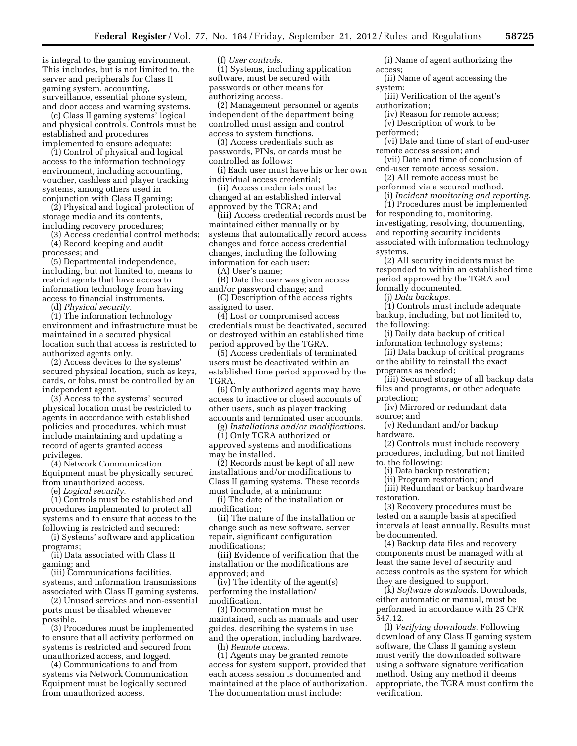is integral to the gaming environment. This includes, but is not limited to, the server and peripherals for Class II gaming system, accounting, surveillance, essential phone system, and door access and warning systems.

(c) Class II gaming systems' logical and physical controls. Controls must be established and procedures implemented to ensure adequate:

(1) Control of physical and logical access to the information technology environment, including accounting, voucher, cashless and player tracking systems, among others used in conjunction with Class II gaming;

(2) Physical and logical protection of storage media and its contents, including recovery procedures;

(3) Access credential control methods;

(4) Record keeping and audit

processes; and (5) Departmental independence, including, but not limited to, means to restrict agents that have access to information technology from having access to financial instruments.

(d) *Physical security.* 

(1) The information technology environment and infrastructure must be maintained in a secured physical location such that access is restricted to authorized agents only.

(2) Access devices to the systems' secured physical location, such as keys, cards, or fobs, must be controlled by an independent agent.

(3) Access to the systems' secured physical location must be restricted to agents in accordance with established policies and procedures, which must include maintaining and updating a record of agents granted access privileges.

(4) Network Communication Equipment must be physically secured from unauthorized access.

(e) *Logical security.* 

(1) Controls must be established and procedures implemented to protect all systems and to ensure that access to the following is restricted and secured:

(i) Systems' software and application programs;

(ii) Data associated with Class II gaming; and

(iii) Communications facilities, systems, and information transmissions associated with Class II gaming systems.

(2) Unused services and non-essential ports must be disabled whenever possible.

(3) Procedures must be implemented to ensure that all activity performed on systems is restricted and secured from unauthorized access, and logged.

(4) Communications to and from systems via Network Communication Equipment must be logically secured from unauthorized access.

(f) *User controls.* 

(1) Systems, including application software, must be secured with passwords or other means for authorizing access.

(2) Management personnel or agents independent of the department being controlled must assign and control access to system functions.

(3) Access credentials such as passwords, PINs, or cards must be controlled as follows:

(i) Each user must have his or her own individual access credential;

(ii) Access credentials must be changed at an established interval approved by the TGRA; and

(iii) Access credential records must be maintained either manually or by systems that automatically record access changes and force access credential changes, including the following information for each user:

(A) User's name;

(B) Date the user was given access and/or password change; and

(C) Description of the access rights assigned to user.

(4) Lost or compromised access credentials must be deactivated, secured or destroyed within an established time period approved by the TGRA.

(5) Access credentials of terminated users must be deactivated within an established time period approved by the TGRA.

(6) Only authorized agents may have access to inactive or closed accounts of other users, such as player tracking accounts and terminated user accounts.

(g) *Installations and/or modifications.*  (1) Only TGRA authorized or

approved systems and modifications may be installed.

(2) Records must be kept of all new installations and/or modifications to Class II gaming systems. These records must include, at a minimum:

(i) The date of the installation or modification;

(ii) The nature of the installation or change such as new software, server repair, significant configuration modifications;

(iii) Evidence of verification that the installation or the modifications are approved; and

(iv) The identity of the agent(s) performing the installation/ modification.

(3) Documentation must be maintained, such as manuals and user guides, describing the systems in use and the operation, including hardware. (h) *Remote access.* 

(1) Agents may be granted remote access for system support, provided that each access session is documented and maintained at the place of authorization. The documentation must include:

(i) Name of agent authorizing the access;

(ii) Name of agent accessing the system;

(iii) Verification of the agent's authorization;

(iv) Reason for remote access; (v) Description of work to be

performed;

(vi) Date and time of start of end-user remote access session; and

(vii) Date and time of conclusion of end-user remote access session.

(2) All remote access must be performed via a secured method.

(i) *Incident monitoring and reporting.* 

(1) Procedures must be implemented for responding to, monitoring, investigating, resolving, documenting, and reporting security incidents associated with information technology systems.

(2) All security incidents must be responded to within an established time period approved by the TGRA and formally documented.

(j) *Data backups.* 

(1) Controls must include adequate backup, including, but not limited to, the following:

(i) Daily data backup of critical information technology systems;

(ii) Data backup of critical programs or the ability to reinstall the exact programs as needed;

(iii) Secured storage of all backup data files and programs, or other adequate protection;

(iv) Mirrored or redundant data source; and

(v) Redundant and/or backup hardware.

(2) Controls must include recovery procedures, including, but not limited to, the following:

(i) Data backup restoration;

(ii) Program restoration; and

(iii) Redundant or backup hardware restoration.

(3) Recovery procedures must be tested on a sample basis at specified intervals at least annually. Results must be documented.

(4) Backup data files and recovery components must be managed with at least the same level of security and access controls as the system for which they are designed to support.

(k) *Software downloads.* Downloads, either automatic or manual, must be performed in accordance with 25 CFR 547.12.

(l) *Verifying downloads.* Following download of any Class II gaming system software, the Class II gaming system must verify the downloaded software using a software signature verification method. Using any method it deems appropriate, the TGRA must confirm the verification.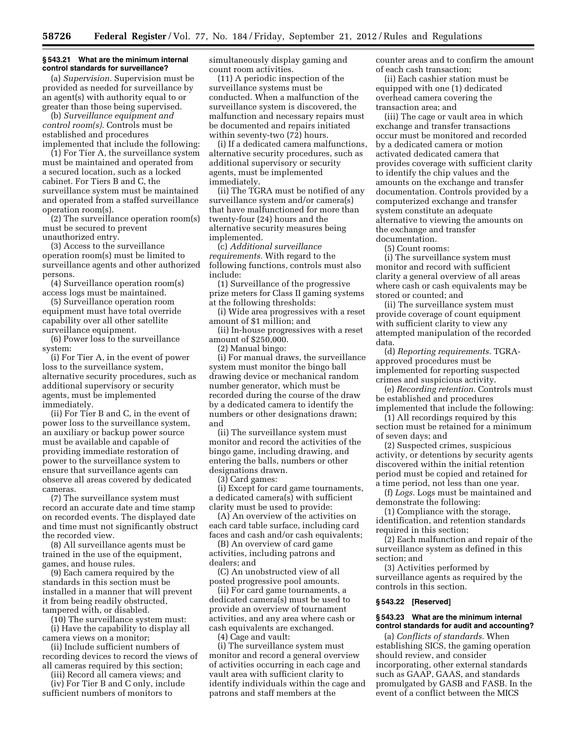#### **§ 543.21 What are the minimum internal control standards for surveillance?**

(a) *Supervision.* Supervision must be provided as needed for surveillance by an agent(s) with authority equal to or greater than those being supervised.

(b) *Surveillance equipment and control room(s).* Controls must be established and procedures implemented that include the following:

(1) For Tier A, the surveillance system must be maintained and operated from a secured location, such as a locked cabinet. For Tiers B and C, the surveillance system must be maintained and operated from a staffed surveillance operation room(s).

(2) The surveillance operation room(s) must be secured to prevent unauthorized entry.

(3) Access to the surveillance operation room(s) must be limited to surveillance agents and other authorized persons.

(4) Surveillance operation room(s) access logs must be maintained.

(5) Surveillance operation room equipment must have total override capability over all other satellite surveillance equipment.

(6) Power loss to the surveillance system:

(i) For Tier A, in the event of power loss to the surveillance system, alternative security procedures, such as additional supervisory or security agents, must be implemented immediately.

(ii) For Tier B and C, in the event of power loss to the surveillance system, an auxiliary or backup power source must be available and capable of providing immediate restoration of power to the surveillance system to ensure that surveillance agents can observe all areas covered by dedicated cameras.

(7) The surveillance system must record an accurate date and time stamp on recorded events. The displayed date and time must not significantly obstruct the recorded view.

(8) All surveillance agents must be trained in the use of the equipment, games, and house rules.

(9) Each camera required by the standards in this section must be installed in a manner that will prevent it from being readily obstructed, tampered with, or disabled.

(10) The surveillance system must: (i) Have the capability to display all

camera views on a monitor; (ii) Include sufficient numbers of recording devices to record the views of

all cameras required by this section; (iii) Record all camera views; and

(iv) For Tier B and C only, include sufficient numbers of monitors to

simultaneously display gaming and count room activities.

(11) A periodic inspection of the surveillance systems must be conducted. When a malfunction of the surveillance system is discovered, the malfunction and necessary repairs must be documented and repairs initiated within seventy-two (72) hours.

(i) If a dedicated camera malfunctions, alternative security procedures, such as additional supervisory or security agents, must be implemented immediately.

(ii) The TGRA must be notified of any surveillance system and/or camera(s) that have malfunctioned for more than twenty-four (24) hours and the alternative security measures being implemented.

(c) *Additional surveillance requirements.* With regard to the following functions, controls must also include:

(1) Surveillance of the progressive prize meters for Class II gaming systems at the following thresholds:

(i) Wide area progressives with a reset amount of \$1 million; and

(ii) In-house progressives with a reset amount of \$250,000.

(2) Manual bingo:

(i) For manual draws, the surveillance system must monitor the bingo ball drawing device or mechanical random number generator, which must be recorded during the course of the draw by a dedicated camera to identify the numbers or other designations drawn; and

(ii) The surveillance system must monitor and record the activities of the bingo game, including drawing, and entering the balls, numbers or other designations drawn.

(3) Card games:

(i) Except for card game tournaments, a dedicated camera(s) with sufficient clarity must be used to provide:

(A) An overview of the activities on each card table surface, including card faces and cash and/or cash equivalents;

(B) An overview of card game activities, including patrons and dealers; and

(C) An unobstructed view of all posted progressive pool amounts.

(ii) For card game tournaments, a dedicated camera(s) must be used to provide an overview of tournament activities, and any area where cash or cash equivalents are exchanged.

(4) Cage and vault:

(i) The surveillance system must monitor and record a general overview of activities occurring in each cage and vault area with sufficient clarity to identify individuals within the cage and patrons and staff members at the

counter areas and to confirm the amount of each cash transaction;

(ii) Each cashier station must be equipped with one (1) dedicated overhead camera covering the transaction area; and

(iii) The cage or vault area in which exchange and transfer transactions occur must be monitored and recorded by a dedicated camera or motion activated dedicated camera that provides coverage with sufficient clarity to identify the chip values and the amounts on the exchange and transfer documentation. Controls provided by a computerized exchange and transfer system constitute an adequate alternative to viewing the amounts on the exchange and transfer documentation.

(5) Count rooms:

(i) The surveillance system must monitor and record with sufficient clarity a general overview of all areas where cash or cash equivalents may be stored or counted; and

(ii) The surveillance system must provide coverage of count equipment with sufficient clarity to view any attempted manipulation of the recorded data.

(d) *Reporting requirements.* TGRAapproved procedures must be implemented for reporting suspected crimes and suspicious activity.

(e) *Recording retention.* Controls must be established and procedures implemented that include the following:

(1) All recordings required by this section must be retained for a minimum of seven days; and

(2) Suspected crimes, suspicious activity, or detentions by security agents discovered within the initial retention period must be copied and retained for a time period, not less than one year.

(f) *Logs.* Logs must be maintained and demonstrate the following:

(1) Compliance with the storage, identification, and retention standards required in this section;

(2) Each malfunction and repair of the surveillance system as defined in this section; and

(3) Activities performed by surveillance agents as required by the controls in this section.

#### **§ 543.22 [Reserved]**

#### **§ 543.23 What are the minimum internal control standards for audit and accounting?**

(a) *Conflicts of standards.* When establishing SICS, the gaming operation should review, and consider incorporating, other external standards such as GAAP, GAAS, and standards promulgated by GASB and FASB. In the event of a conflict between the MICS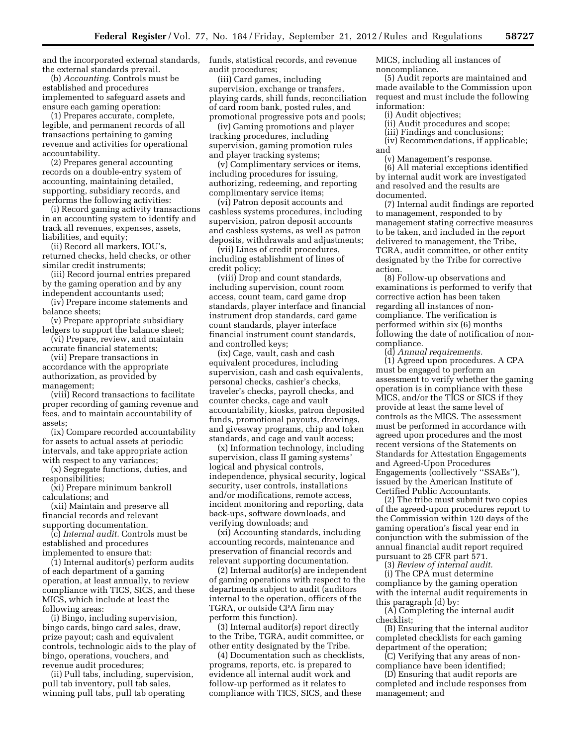and the incorporated external standards, the external standards prevail.

(b) *Accounting.* Controls must be established and procedures implemented to safeguard assets and ensure each gaming operation:

(1) Prepares accurate, complete, legible, and permanent records of all transactions pertaining to gaming revenue and activities for operational accountability.

(2) Prepares general accounting records on a double-entry system of accounting, maintaining detailed, supporting, subsidiary records, and performs the following activities:

(i) Record gaming activity transactions in an accounting system to identify and track all revenues, expenses, assets, liabilities, and equity;

(ii) Record all markers, IOU's, returned checks, held checks, or other similar credit instruments;

(iii) Record journal entries prepared by the gaming operation and by any independent accountants used;

(iv) Prepare income statements and balance sheets;

(v) Prepare appropriate subsidiary ledgers to support the balance sheet;

(vi) Prepare, review, and maintain accurate financial statements;

(vii) Prepare transactions in accordance with the appropriate authorization, as provided by management;

(viii) Record transactions to facilitate proper recording of gaming revenue and fees, and to maintain accountability of assets;

(ix) Compare recorded accountability for assets to actual assets at periodic intervals, and take appropriate action with respect to any variances;

(x) Segregate functions, duties, and responsibilities;

(xi) Prepare minimum bankroll calculations; and

(xii) Maintain and preserve all financial records and relevant supporting documentation.

(c) *Internal audit.* Controls must be established and procedures implemented to ensure that:

(1) Internal auditor(s) perform audits of each department of a gaming operation, at least annually, to review compliance with TICS, SICS, and these MICS, which include at least the following areas:

(i) Bingo, including supervision, bingo cards, bingo card sales, draw, prize payout; cash and equivalent controls, technologic aids to the play of bingo, operations, vouchers, and revenue audit procedures;

(ii) Pull tabs, including, supervision, pull tab inventory, pull tab sales, winning pull tabs, pull tab operating

funds, statistical records, and revenue audit procedures;

(iii) Card games, including supervision, exchange or transfers, playing cards, shill funds, reconciliation of card room bank, posted rules, and promotional progressive pots and pools;

(iv) Gaming promotions and player tracking procedures, including supervision, gaming promotion rules and player tracking systems;

(v) Complimentary services or items, including procedures for issuing, authorizing, redeeming, and reporting complimentary service items;

(vi) Patron deposit accounts and cashless systems procedures, including supervision, patron deposit accounts and cashless systems, as well as patron deposits, withdrawals and adjustments;

(vii) Lines of credit procedures, including establishment of lines of credit policy;

(viii) Drop and count standards, including supervision, count room access, count team, card game drop standards, player interface and financial instrument drop standards, card game count standards, player interface financial instrument count standards, and controlled keys;

(ix) Cage, vault, cash and cash equivalent procedures, including supervision, cash and cash equivalents, personal checks, cashier's checks, traveler's checks, payroll checks, and counter checks, cage and vault accountability, kiosks, patron deposited funds, promotional payouts, drawings, and giveaway programs, chip and token standards, and cage and vault access;

(x) Information technology, including supervision, class II gaming systems' logical and physical controls, independence, physical security, logical security, user controls, installations and/or modifications, remote access, incident monitoring and reporting, data back-ups, software downloads, and verifying downloads; and

(xi) Accounting standards, including accounting records, maintenance and preservation of financial records and relevant supporting documentation.

(2) Internal auditor(s) are independent of gaming operations with respect to the departments subject to audit (auditors internal to the operation, officers of the TGRA, or outside CPA firm may perform this function).

(3) Internal auditor(s) report directly to the Tribe, TGRA, audit committee, or other entity designated by the Tribe.

(4) Documentation such as checklists, programs, reports, etc. is prepared to evidence all internal audit work and follow-up performed as it relates to compliance with TICS, SICS, and these

MICS, including all instances of noncompliance.

(5) Audit reports are maintained and made available to the Commission upon request and must include the following information:

(i) Audit objectives;

(ii) Audit procedures and scope;

(iii) Findings and conclusions;

(iv) Recommendations, if applicable; and

(v) Management's response.

(6) All material exceptions identified by internal audit work are investigated and resolved and the results are documented.

(7) Internal audit findings are reported to management, responded to by management stating corrective measures to be taken, and included in the report delivered to management, the Tribe, TGRA, audit committee, or other entity designated by the Tribe for corrective action.

(8) Follow-up observations and examinations is performed to verify that corrective action has been taken regarding all instances of noncompliance. The verification is performed within six (6) months following the date of notification of noncompliance.

(d) *Annual requirements.* 

(1) Agreed upon procedures. A CPA must be engaged to perform an assessment to verify whether the gaming operation is in compliance with these MICS, and/or the TICS or SICS if they provide at least the same level of controls as the MICS. The assessment must be performed in accordance with agreed upon procedures and the most recent versions of the Statements on Standards for Attestation Engagements and Agreed-Upon Procedures Engagements (collectively ''SSAEs''), issued by the American Institute of Certified Public Accountants.

(2) The tribe must submit two copies of the agreed-upon procedures report to the Commission within 120 days of the gaming operation's fiscal year end in conjunction with the submission of the annual financial audit report required pursuant to 25 CFR part 571.

(3) *Review of internal audit.* 

(i) The CPA must determine compliance by the gaming operation with the internal audit requirements in this paragraph (d) by:

(A) Completing the internal audit checklist;

(B) Ensuring that the internal auditor completed checklists for each gaming department of the operation;

(C) Verifying that any areas of noncompliance have been identified;

(D) Ensuring that audit reports are completed and include responses from management; and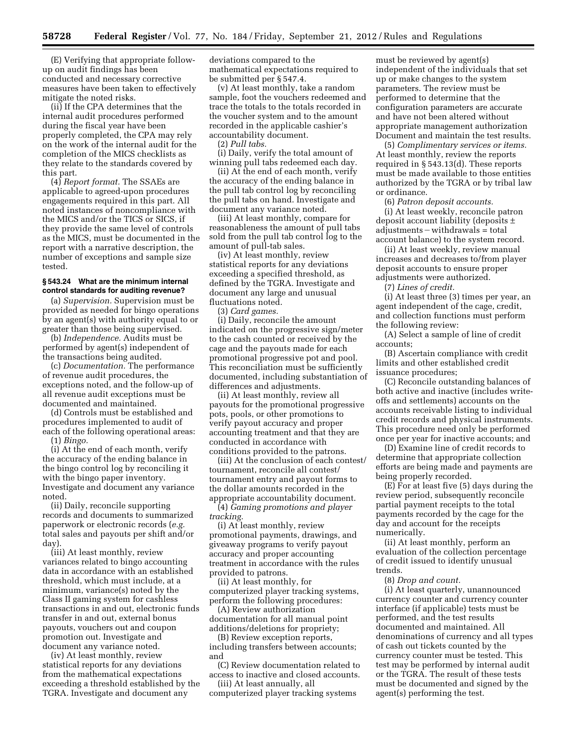(E) Verifying that appropriate followup on audit findings has been conducted and necessary corrective measures have been taken to effectively mitigate the noted risks.

(ii) If the CPA determines that the internal audit procedures performed during the fiscal year have been properly completed, the CPA may rely on the work of the internal audit for the completion of the MICS checklists as they relate to the standards covered by this part.

(4) *Report format.* The SSAEs are applicable to agreed-upon procedures engagements required in this part. All noted instances of noncompliance with the MICS and/or the TICS or SICS, if they provide the same level of controls as the MICS, must be documented in the report with a narrative description, the number of exceptions and sample size tested.

#### **§ 543.24 What are the minimum internal control standards for auditing revenue?**

(a) *Supervision.* Supervision must be provided as needed for bingo operations by an agent(s) with authority equal to or greater than those being supervised.

(b) *Independence.* Audits must be performed by agent(s) independent of the transactions being audited.

(c) *Documentation.* The performance of revenue audit procedures, the exceptions noted, and the follow-up of all revenue audit exceptions must be documented and maintained.

(d) Controls must be established and procedures implemented to audit of each of the following operational areas: (1) *Bingo.* 

(i) At the end of each month, verify the accuracy of the ending balance in the bingo control log by reconciling it with the bingo paper inventory. Investigate and document any variance noted.

(ii) Daily, reconcile supporting records and documents to summarized paperwork or electronic records (*e.g.*  total sales and payouts per shift and/or day).

(iii) At least monthly, review variances related to bingo accounting data in accordance with an established threshold, which must include, at a minimum, variance(s) noted by the Class II gaming system for cashless transactions in and out, electronic funds transfer in and out, external bonus payouts, vouchers out and coupon promotion out. Investigate and document any variance noted.

(iv) At least monthly, review statistical reports for any deviations from the mathematical expectations exceeding a threshold established by the TGRA. Investigate and document any

deviations compared to the mathematical expectations required to be submitted per § 547.4.

(v) At least monthly, take a random sample, foot the vouchers redeemed and trace the totals to the totals recorded in the voucher system and to the amount recorded in the applicable cashier's accountability document.

(2) *Pull tabs.* 

(i) Daily, verify the total amount of winning pull tabs redeemed each day.

(ii) At the end of each month, verify the accuracy of the ending balance in the pull tab control log by reconciling the pull tabs on hand. Investigate and document any variance noted.

(iii) At least monthly, compare for reasonableness the amount of pull tabs sold from the pull tab control log to the amount of pull-tab sales.

(iv) At least monthly, review statistical reports for any deviations exceeding a specified threshold, as defined by the TGRA. Investigate and document any large and unusual fluctuations noted.

(3) *Card games.* 

(i) Daily, reconcile the amount indicated on the progressive sign/meter to the cash counted or received by the cage and the payouts made for each promotional progressive pot and pool. This reconciliation must be sufficiently documented, including substantiation of differences and adjustments.

(ii) At least monthly, review all payouts for the promotional progressive pots, pools, or other promotions to verify payout accuracy and proper accounting treatment and that they are conducted in accordance with conditions provided to the patrons.

(iii) At the conclusion of each contest/ tournament, reconcile all contest/ tournament entry and payout forms to the dollar amounts recorded in the appropriate accountability document.

(4) *Gaming promotions and player tracking.* 

(i) At least monthly, review promotional payments, drawings, and giveaway programs to verify payout accuracy and proper accounting treatment in accordance with the rules provided to patrons.

(ii) At least monthly, for computerized player tracking systems, perform the following procedures:

(A) Review authorization documentation for all manual point additions/deletions for propriety;

(B) Review exception reports, including transfers between accounts; and

(C) Review documentation related to access to inactive and closed accounts.

(iii) At least annually, all computerized player tracking systems must be reviewed by agent(s) independent of the individuals that set up or make changes to the system parameters. The review must be performed to determine that the configuration parameters are accurate and have not been altered without appropriate management authorization Document and maintain the test results.

(5) *Complimentary services or items.*  At least monthly, review the reports required in § 543.13(d). These reports must be made available to those entities authorized by the TGRA or by tribal law or ordinance.

(6) *Patron deposit accounts.* 

(i) At least weekly, reconcile patron deposit account liability (deposits ±  $adjustments - with draws = total$ account balance) to the system record.

(ii) At least weekly, review manual increases and decreases to/from player deposit accounts to ensure proper adjustments were authorized.

(7) *Lines of credit.* 

(i) At least three (3) times per year, an agent independent of the cage, credit, and collection functions must perform the following review:

(A) Select a sample of line of credit accounts;

(B) Ascertain compliance with credit limits and other established credit issuance procedures;

(C) Reconcile outstanding balances of both active and inactive (includes writeoffs and settlements) accounts on the accounts receivable listing to individual credit records and physical instruments. This procedure need only be performed once per year for inactive accounts; and

(D) Examine line of credit records to determine that appropriate collection efforts are being made and payments are being properly recorded.

(E) For at least five (5) days during the review period, subsequently reconcile partial payment receipts to the total payments recorded by the cage for the day and account for the receipts numerically.

(ii) At least monthly, perform an evaluation of the collection percentage of credit issued to identify unusual trends.

(8) *Drop and count.* 

(i) At least quarterly, unannounced currency counter and currency counter interface (if applicable) tests must be performed, and the test results documented and maintained. All denominations of currency and all types of cash out tickets counted by the currency counter must be tested. This test may be performed by internal audit or the TGRA. The result of these tests must be documented and signed by the agent(s) performing the test.